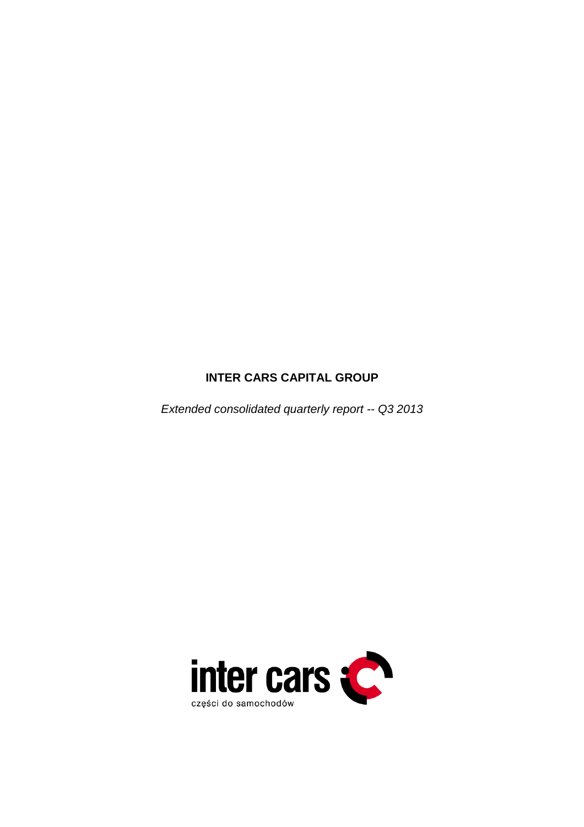# **INTER CARS CAPITAL GROUP**

Extended consolidated quarterly report -- Q3 2013

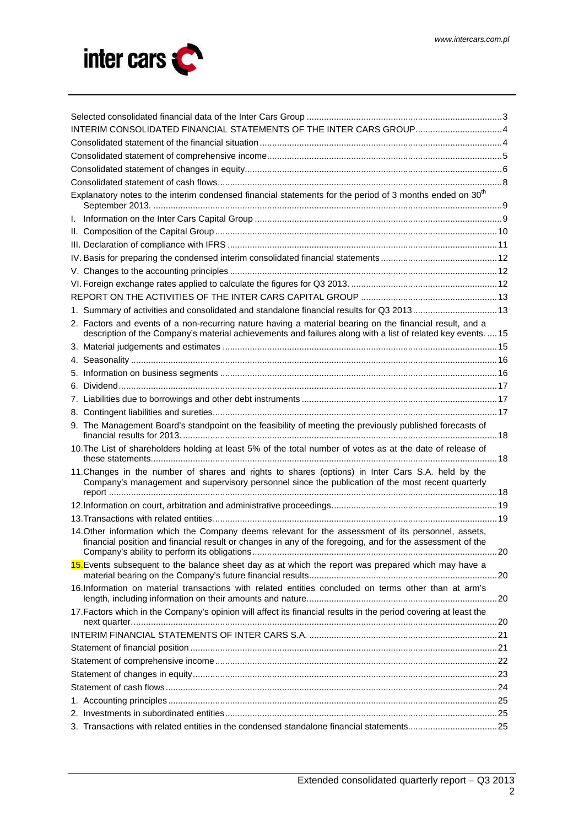

| INTERIM CONSOLIDATED FINANCIAL STATEMENTS OF THE INTER CARS GROUP4                                                                                                                                                       |  |
|--------------------------------------------------------------------------------------------------------------------------------------------------------------------------------------------------------------------------|--|
|                                                                                                                                                                                                                          |  |
|                                                                                                                                                                                                                          |  |
|                                                                                                                                                                                                                          |  |
|                                                                                                                                                                                                                          |  |
| Explanatory notes to the interim condensed financial statements for the period of 3 months ended on 30 <sup>th</sup>                                                                                                     |  |
|                                                                                                                                                                                                                          |  |
|                                                                                                                                                                                                                          |  |
|                                                                                                                                                                                                                          |  |
|                                                                                                                                                                                                                          |  |
|                                                                                                                                                                                                                          |  |
|                                                                                                                                                                                                                          |  |
|                                                                                                                                                                                                                          |  |
| 1. Summary of activities and consolidated and standalone financial results for Q3 201313                                                                                                                                 |  |
| 2. Factors and events of a non-recurring nature having a material bearing on the financial result, and a<br>description of the Company's material achievements and failures along with a list of related key events.  15 |  |
|                                                                                                                                                                                                                          |  |
|                                                                                                                                                                                                                          |  |
|                                                                                                                                                                                                                          |  |
|                                                                                                                                                                                                                          |  |
|                                                                                                                                                                                                                          |  |
|                                                                                                                                                                                                                          |  |
| 9. The Management Board's standpoint on the feasibility of meeting the previously published forecasts of                                                                                                                 |  |
| 10. The List of shareholders holding at least 5% of the total number of votes as at the date of release of                                                                                                               |  |
| 11. Changes in the number of shares and rights to shares (options) in Inter Cars S.A. held by the<br>Company's management and supervisory personnel since the publication of the most recent quarterly                   |  |
|                                                                                                                                                                                                                          |  |
|                                                                                                                                                                                                                          |  |
| 14. Other information which the Company deems relevant for the assessment of its personnel, assets,<br>financial position and financial result or changes in any of the foregoing, and for the assessment of the         |  |
| 15. Events subsequent to the balance sheet day as at which the report was prepared which may have a                                                                                                                      |  |
| 16.Information on material transactions with related entities concluded on terms other than at arm's                                                                                                                     |  |
| 17. Factors which in the Company's opinion will affect its financial results in the period covering at least the                                                                                                         |  |
|                                                                                                                                                                                                                          |  |
|                                                                                                                                                                                                                          |  |
|                                                                                                                                                                                                                          |  |
|                                                                                                                                                                                                                          |  |
|                                                                                                                                                                                                                          |  |
|                                                                                                                                                                                                                          |  |
|                                                                                                                                                                                                                          |  |
| 3. Transactions with related entities in the condensed standalone financial statements25                                                                                                                                 |  |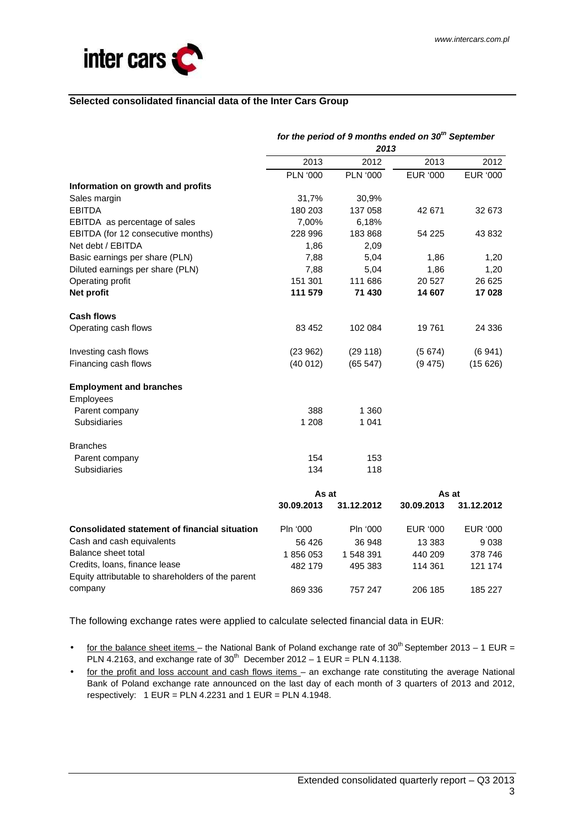

#### **Selected consolidated financial data of the Inter Cars Group**

|                                                                                    | for the period of 9 months ended on 30 <sup>th</sup> September<br>2013 |                 |                 |            |  |
|------------------------------------------------------------------------------------|------------------------------------------------------------------------|-----------------|-----------------|------------|--|
|                                                                                    | 2013                                                                   | 2012            | 2013            | 2012       |  |
|                                                                                    | <b>PLN '000</b>                                                        | <b>PLN '000</b> | <b>EUR '000</b> | EUR '000   |  |
| Information on growth and profits                                                  |                                                                        |                 |                 |            |  |
| Sales margin                                                                       | 31,7%                                                                  | 30,9%           |                 |            |  |
| <b>EBITDA</b>                                                                      | 180 203                                                                | 137 058         | 42 671          | 32 673     |  |
| EBITDA as percentage of sales                                                      | 7,00%                                                                  | 6,18%           |                 |            |  |
| EBITDA (for 12 consecutive months)                                                 | 228 996                                                                | 183868          | 54 225          | 43 832     |  |
| Net debt / EBITDA                                                                  | 1,86                                                                   | 2,09            |                 |            |  |
| Basic earnings per share (PLN)                                                     | 7,88                                                                   | 5,04            | 1,86            | 1,20       |  |
| Diluted earnings per share (PLN)                                                   | 7,88                                                                   | 5,04            | 1,86            | 1,20       |  |
| Operating profit                                                                   | 151 301                                                                | 111 686         | 20 5 27         | 26 625     |  |
| Net profit                                                                         | 111 579                                                                | 71 430          | 14 607          | 17 028     |  |
| <b>Cash flows</b>                                                                  |                                                                        |                 |                 |            |  |
| Operating cash flows                                                               | 83 452                                                                 | 102 084         | 19761           | 24 336     |  |
| Investing cash flows                                                               | (23962)                                                                | (29 118)        | (5674)          | (6941)     |  |
| Financing cash flows                                                               | (40012)                                                                | (65547)         | (9475)          | (15626)    |  |
| <b>Employment and branches</b>                                                     |                                                                        |                 |                 |            |  |
| Employees                                                                          |                                                                        |                 |                 |            |  |
| Parent company                                                                     | 388                                                                    | 1 3 6 0         |                 |            |  |
| Subsidiaries                                                                       | 1 208                                                                  | 1 0 4 1         |                 |            |  |
| <b>Branches</b>                                                                    |                                                                        |                 |                 |            |  |
| Parent company                                                                     | 154                                                                    | 153             |                 |            |  |
| Subsidiaries                                                                       | 134                                                                    | 118             |                 |            |  |
|                                                                                    | As at                                                                  |                 | As at           |            |  |
|                                                                                    | 30.09.2013                                                             | 31.12.2012      | 30.09.2013      | 31.12.2012 |  |
| <b>Consolidated statement of financial situation</b>                               | Pln '000                                                               | Pln '000        | EUR '000        | EUR '000   |  |
| Cash and cash equivalents                                                          | 56 426                                                                 | 36 948          | 13 3 8 3        | 9038       |  |
| Balance sheet total                                                                | 1856053                                                                | 1 548 391       | 440 209         | 378 746    |  |
| Credits, Ioans, finance lease<br>Equity attributable to shareholders of the parent | 482 179                                                                | 495 383         | 114 361         | 121 174    |  |
| company                                                                            | 869 336                                                                | 757 247         | 206 185         | 185 227    |  |

The following exchange rates were applied to calculate selected financial data in EUR:

- for the balance sheet items the National Bank of Poland exchange rate of 30<sup>th</sup> September 2013 1 EUR = PLN 4.2163, and exchange rate of  $30^{th}$  December 2012 – 1 EUR = PLN 4.1138.
- for the profit and loss account and cash flows items an exchange rate constituting the average National Bank of Poland exchange rate announced on the last day of each month of 3 quarters of 2013 and 2012, respectively:  $1$  EUR = PLN 4.2231 and  $1$  EUR = PLN 4.1948.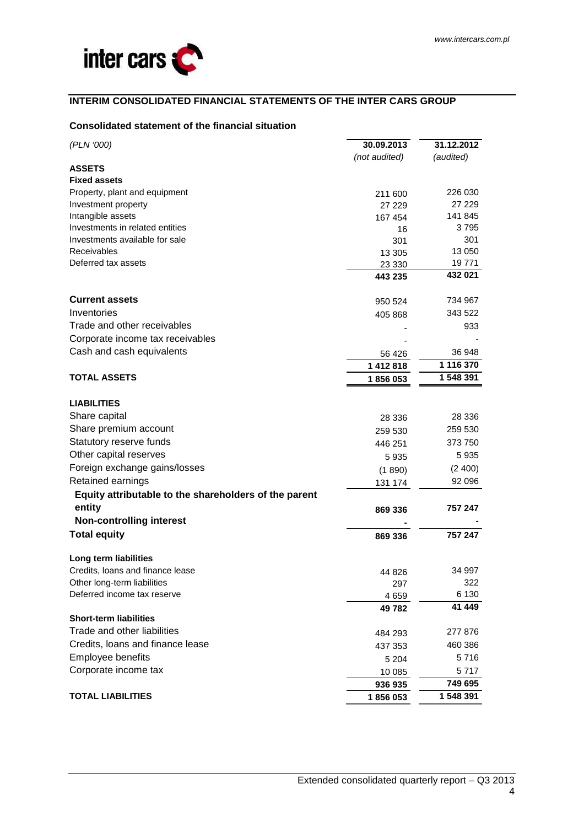# **INTERIM CONSOLIDATED FINANCIAL STATEMENTS OF THE INTER CARS GROUP**

# **Consolidated statement of the financial situation**

| (PLN '000)                                            | 30.09.2013    | 31.12.2012 |
|-------------------------------------------------------|---------------|------------|
|                                                       | (not audited) | (audited)  |
| <b>ASSETS</b>                                         |               |            |
| <b>Fixed assets</b>                                   |               |            |
| Property, plant and equipment                         | 211 600       | 226 030    |
| Investment property                                   | 27 229        | 27 229     |
| Intangible assets                                     | 167 454       | 141 845    |
| Investments in related entities                       | 16            | 3795       |
| Investments available for sale                        | 301           | 301        |
| <b>Receivables</b>                                    | 13 305        | 13 050     |
| Deferred tax assets                                   | 23 330        | 19771      |
|                                                       | 443 235       | 432 021    |
| <b>Current assets</b>                                 | 950 524       | 734 967    |
| Inventories                                           | 405 868       | 343 522    |
| Trade and other receivables                           |               | 933        |
| Corporate income tax receivables                      |               |            |
| Cash and cash equivalents                             | 56 4 26       | 36 948     |
|                                                       | 1 412 818     | 1 116 370  |
| <b>TOTAL ASSETS</b>                                   | 1856053       | 1 548 391  |
|                                                       |               |            |
| <b>LIABILITIES</b>                                    |               |            |
| Share capital                                         | 28 336        | 28 336     |
| Share premium account                                 | 259 530       | 259 530    |
| Statutory reserve funds                               | 446 251       | 373 750    |
| Other capital reserves                                | 5935          | 5935       |
| Foreign exchange gains/losses                         | (1890)        | (2400)     |
| Retained earnings                                     | 131 174       | 92 096     |
| Equity attributable to the shareholders of the parent |               |            |
| entity                                                | 869 336       | 757 247    |
| <b>Non-controlling interest</b>                       |               |            |
| <b>Total equity</b>                                   | 869 336       | 757 247    |
| Long term liabilities                                 |               |            |
| Credits, loans and finance lease                      | 44 826        | 34 997     |
| Other long-term liabilities                           | 297           | 322        |
| Deferred income tax reserve                           | 4659          | 6 1 3 0    |
|                                                       | 49782         | 41 449     |
| <b>Short-term liabilities</b>                         |               |            |
| Trade and other liabilities                           | 484 293       | 277 876    |
| Credits, loans and finance lease                      | 437 353       | 460 386    |
| Employee benefits                                     | 5 2 0 4       | 5716       |
| Corporate income tax                                  | 10 085        | 5 7 1 7    |
|                                                       | 936 935       | 749 695    |
| <b>TOTAL LIABILITIES</b>                              | 1856053       | 1 548 391  |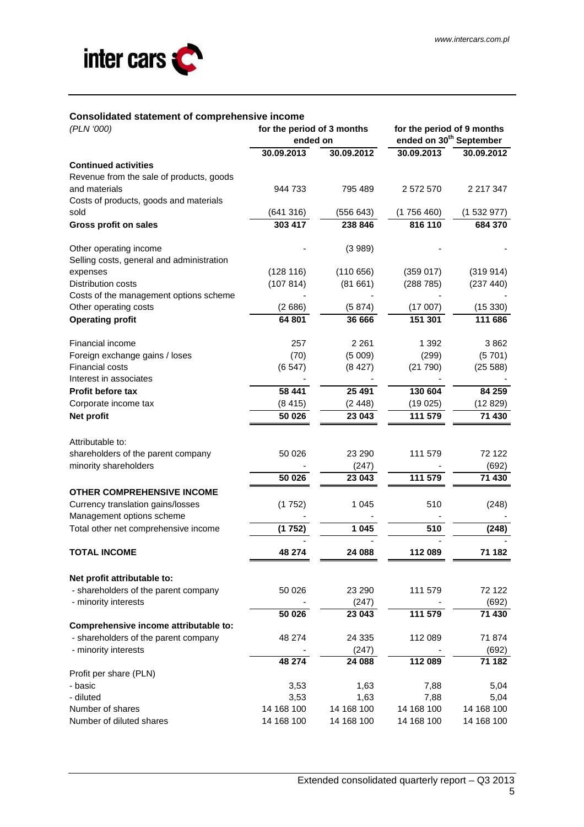

#### **Consolidated statement of comprehensive income**

| (PLN '000)                                | for the period of 3 months<br>ended on |            | for the period of 9 months<br>ended on 30 <sup>th</sup> September |            |  |
|-------------------------------------------|----------------------------------------|------------|-------------------------------------------------------------------|------------|--|
|                                           | 30.09.2013                             | 30.09.2012 | 30.09.2013                                                        | 30.09.2012 |  |
| <b>Continued activities</b>               |                                        |            |                                                                   |            |  |
| Revenue from the sale of products, goods  |                                        |            |                                                                   |            |  |
| and materials                             | 944 733                                | 795 489    | 2 572 570                                                         | 2 217 347  |  |
| Costs of products, goods and materials    |                                        |            |                                                                   |            |  |
| sold                                      | (641316)                               | (556643)   | (1756460)                                                         | (1532977)  |  |
| <b>Gross profit on sales</b>              | 303 417                                | 238 846    | 816 110                                                           | 684 370    |  |
| Other operating income                    |                                        | (3989)     |                                                                   |            |  |
| Selling costs, general and administration |                                        |            |                                                                   |            |  |
| expenses                                  | (128 116)                              | (110656)   | (359017)                                                          | (319914)   |  |
| Distribution costs                        | (107814)                               | (81661)    | (288785)                                                          | (237 440)  |  |
| Costs of the management options scheme    |                                        |            |                                                                   |            |  |
| Other operating costs                     | (2686)                                 | (5874)     | (17007)                                                           | (15330)    |  |
| <b>Operating profit</b>                   | 64 801                                 | 36 666     | 151 301                                                           | 111 686    |  |
| Financial income                          | 257                                    | 2 2 6 1    | 1 3 9 2                                                           | 3862       |  |
| Foreign exchange gains / loses            | (70)                                   | (5009)     | (299)                                                             | (5701)     |  |
| Financial costs                           | (6547)                                 | (8427)     | (21790)                                                           | (25 588)   |  |
| Interest in associates                    |                                        |            |                                                                   |            |  |
| <b>Profit before tax</b>                  | 58 441                                 | 25 4 91    | 130 604                                                           | 84 259     |  |
| Corporate income tax                      | (8415)                                 | (2448)     | (19025)                                                           | (12829)    |  |
| Net profit                                | 50 026                                 | 23 043     | 111 579                                                           | 71 430     |  |
|                                           |                                        |            |                                                                   |            |  |
| Attributable to:                          |                                        |            |                                                                   |            |  |
| shareholders of the parent company        | 50 0 26                                | 23 290     | 111 579                                                           | 72 122     |  |
| minority shareholders                     |                                        | (247)      |                                                                   | (692)      |  |
|                                           | 50 026                                 | 23 043     | 111 579                                                           | 71 430     |  |
| <b>OTHER COMPREHENSIVE INCOME</b>         |                                        |            |                                                                   |            |  |
| Currency translation gains/losses         | (1752)                                 | 1 045      | 510                                                               | (248)      |  |
| Management options scheme                 |                                        |            |                                                                   |            |  |
| Total other net comprehensive income      | (1752)                                 | 1 0 4 5    | 510                                                               | (248)      |  |
| <b>TOTAL INCOME</b>                       | 48 274                                 | 24 088     | 112 089                                                           | 71 182     |  |
| Net profit attributable to:               |                                        |            |                                                                   |            |  |
| - shareholders of the parent company      | 50 0 26                                | 23 290     | 111 579                                                           | 72 122     |  |
| - minority interests                      |                                        | (247)      |                                                                   | (692)      |  |
|                                           | 50 0 26                                | 23 043     | 111 579                                                           | 71 430     |  |
| Comprehensive income attributable to:     |                                        |            |                                                                   |            |  |
| - shareholders of the parent company      | 48 274                                 | 24 335     | 112 089                                                           | 71 874     |  |
| - minority interests                      |                                        | (247)      |                                                                   | (692)      |  |
|                                           | 48 274                                 | 24 088     | 112 089                                                           | 71 182     |  |
| Profit per share (PLN)                    |                                        |            |                                                                   |            |  |
| - basic                                   | 3,53                                   | 1,63       | 7,88                                                              | 5,04       |  |
| - diluted                                 | 3,53                                   | 1,63       | 7,88                                                              | 5,04       |  |
| Number of shares                          | 14 168 100                             | 14 168 100 | 14 168 100                                                        | 14 168 100 |  |
| Number of diluted shares                  | 14 168 100                             | 14 168 100 | 14 168 100                                                        | 14 168 100 |  |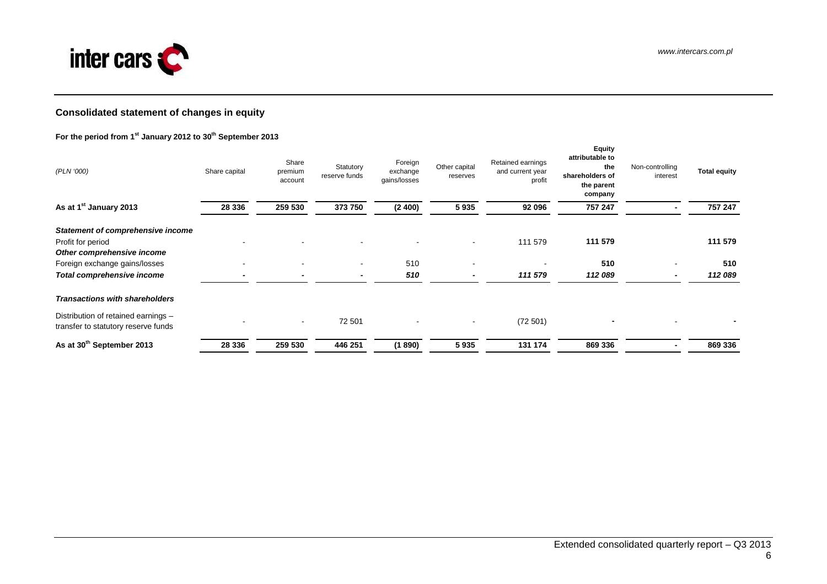

# **Consolidated statement of changes in equity**

#### **For the period from 1st January 2012 to 30th September 2013**

| (PLN '000)                                                                                  | Share capital            | Share<br>premium<br>account | Statutory<br>reserve funds | Foreign<br>exchange<br>gains/losses | Other capital<br>reserves | Retained earnings<br>and current year<br>profit | <b>Equity</b><br>attributable to<br>the<br>shareholders of<br>the parent<br>company | Non-controlling<br>interest | <b>Total equity</b> |
|---------------------------------------------------------------------------------------------|--------------------------|-----------------------------|----------------------------|-------------------------------------|---------------------------|-------------------------------------------------|-------------------------------------------------------------------------------------|-----------------------------|---------------------|
| As at 1 <sup>st</sup> January 2013                                                          | 28 336                   | 259 530                     | 373 750                    | (2400)                              | 5935                      | 92 096                                          | 757 247                                                                             |                             | 757 247             |
| <b>Statement of comprehensive income</b><br>Profit for period<br>Other comprehensive income |                          |                             |                            |                                     | $\overline{\phantom{a}}$  | 111 579                                         | 111 579                                                                             |                             | 111 579             |
| Foreign exchange gains/losses                                                               | $\overline{\phantom{a}}$ | $\,$ $\,$                   | $\blacksquare$             | 510                                 | $\overline{\phantom{a}}$  |                                                 | 510                                                                                 |                             | 510                 |
| Total comprehensive income                                                                  |                          |                             |                            | 510                                 |                           | 111 579                                         | 112 089                                                                             |                             | 112 089             |
| <b>Transactions with shareholders</b>                                                       |                          |                             |                            |                                     |                           |                                                 |                                                                                     |                             |                     |
| Distribution of retained earnings -<br>transfer to statutory reserve funds                  |                          | $\sim$                      | 72 501                     | $\blacksquare$                      | $\overline{\phantom{a}}$  | (72501)                                         |                                                                                     |                             |                     |
| As at 30 <sup>th</sup> September 2013                                                       | 28 336                   | 259 530                     | 446 251                    | (1890)                              | 5935                      | 131 174                                         | 869 336                                                                             |                             | 869 336             |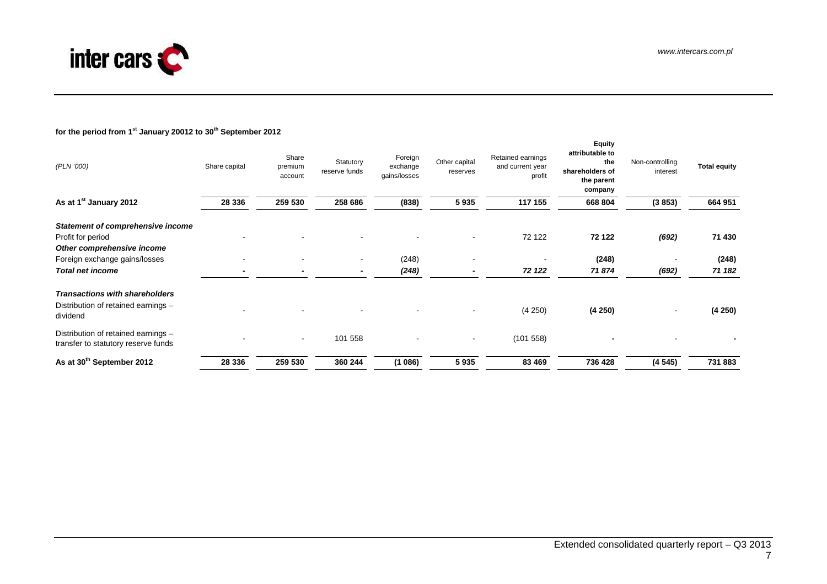

# **for the period from 1st January 20012 to 30th September 2012**

| (PLN '000)                                                                                  | Share capital | Share<br>premium<br>account | Statutory<br>reserve funds | Foreign<br>exchange<br>gains/losses | Other capital<br>reserves | Retained earnings<br>and current year<br>profit | <b>Equity</b><br>attributable to<br>the<br>shareholders of<br>the parent<br>company | Non-controlling<br>interest | <b>Total equity</b> |
|---------------------------------------------------------------------------------------------|---------------|-----------------------------|----------------------------|-------------------------------------|---------------------------|-------------------------------------------------|-------------------------------------------------------------------------------------|-----------------------------|---------------------|
| As at 1 <sup>st</sup> January 2012                                                          | 28 336        | 259 530                     | 258 686                    | (838)                               | 5935                      | 117 155                                         | 668 804                                                                             | (3853)                      | 664 951             |
| <b>Statement of comprehensive income</b><br>Profit for period<br>Other comprehensive income |               |                             |                            |                                     |                           | 72 122                                          | 72 122                                                                              | (692)                       | 71 430              |
| Foreign exchange gains/losses                                                               |               |                             | $\blacksquare$             | (248)                               |                           |                                                 | (248)                                                                               |                             | (248)               |
| <b>Total net income</b>                                                                     |               | -                           | $\overline{\phantom{a}}$   | (248)                               |                           | 72 122                                          | 71874                                                                               | (692)                       | 71 182              |
| <b>Transactions with shareholders</b><br>Distribution of retained earnings -<br>dividend    |               |                             |                            |                                     |                           | (4 250)                                         | (4250)                                                                              | $\sim$                      | (4250)              |
| Distribution of retained earnings -<br>transfer to statutory reserve funds                  |               |                             | 101 558                    |                                     | $\blacksquare$            | (101558)                                        |                                                                                     |                             |                     |
| As at 30 <sup>th</sup> September 2012                                                       | 28 336        | 259 530                     | 360 244                    | (1086)                              | 5935                      | 83 469                                          | 736 428                                                                             | (4545)                      | 731 883             |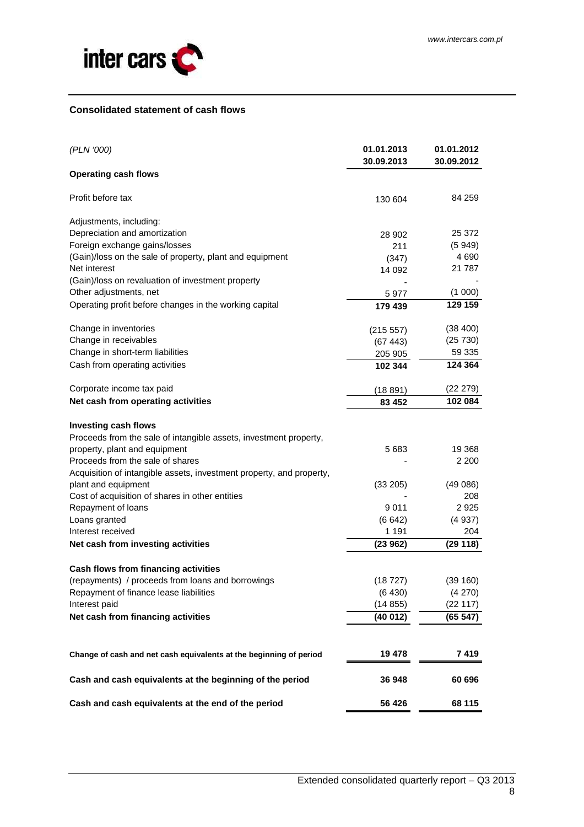

#### **Consolidated statement of cash flows**

| (PLN '000)                                                                                       | 01.01.2013<br>30.09.2013 | 01.01.2012<br>30.09.2012 |
|--------------------------------------------------------------------------------------------------|--------------------------|--------------------------|
| <b>Operating cash flows</b>                                                                      |                          |                          |
| Profit before tax                                                                                | 130 604                  | 84 259                   |
| Adjustments, including:                                                                          |                          |                          |
| Depreciation and amortization                                                                    | 28 902                   | 25 372                   |
| Foreign exchange gains/losses                                                                    | 211                      | (5949)                   |
| (Gain)/loss on the sale of property, plant and equipment                                         | (347)                    | 4 6 9 0                  |
| Net interest                                                                                     | 14 092                   | 21 787                   |
| (Gain)/loss on revaluation of investment property                                                |                          |                          |
| Other adjustments, net                                                                           | 5977                     | (1 000)                  |
| Operating profit before changes in the working capital                                           | 179 439                  | 129 159                  |
| Change in inventories                                                                            | (215 557)                | (38, 400)                |
| Change in receivables                                                                            | (67443)                  | (25 730)                 |
| Change in short-term liabilities                                                                 | 205 905                  | 59 335                   |
| Cash from operating activities                                                                   | 102 344                  | 124 364                  |
| Corporate income tax paid                                                                        | (18891)                  | (22 279)                 |
| Net cash from operating activities                                                               | 83 452                   | 102 084                  |
| <b>Investing cash flows</b><br>Proceeds from the sale of intangible assets, investment property, |                          |                          |
| property, plant and equipment                                                                    | 5683                     | 19 3 68                  |
| Proceeds from the sale of shares                                                                 |                          | 2 2 0 0                  |
| Acquisition of intangible assets, investment property, and property,                             |                          |                          |
| plant and equipment                                                                              | (33 205)                 | (49086)                  |
| Cost of acquisition of shares in other entities                                                  |                          | 208                      |
| Repayment of loans                                                                               | 9 0 1 1                  | 2925                     |
| Loans granted                                                                                    | (6642)                   | (4937)                   |
| Interest received                                                                                | 1 1 9 1                  | 204                      |
| Net cash from investing activities                                                               | (23962)                  | (29118)                  |
| Cash flows from financing activities                                                             |                          |                          |
| (repayments) / proceeds from loans and borrowings                                                | (18 727)                 | (39 160)                 |
| Repayment of finance lease liabilities                                                           | (6 430)                  | (4 270)                  |
| Interest paid                                                                                    | (14855)                  | (22 117)                 |
| Net cash from financing activities                                                               | (40012)                  | (65 547)                 |
|                                                                                                  |                          |                          |
| Change of cash and net cash equivalents at the beginning of period                               | 19 478                   | 7 419                    |
| Cash and cash equivalents at the beginning of the period                                         | 36 948                   | 60 696                   |
| Cash and cash equivalents at the end of the period                                               | 56 426                   | 68 115                   |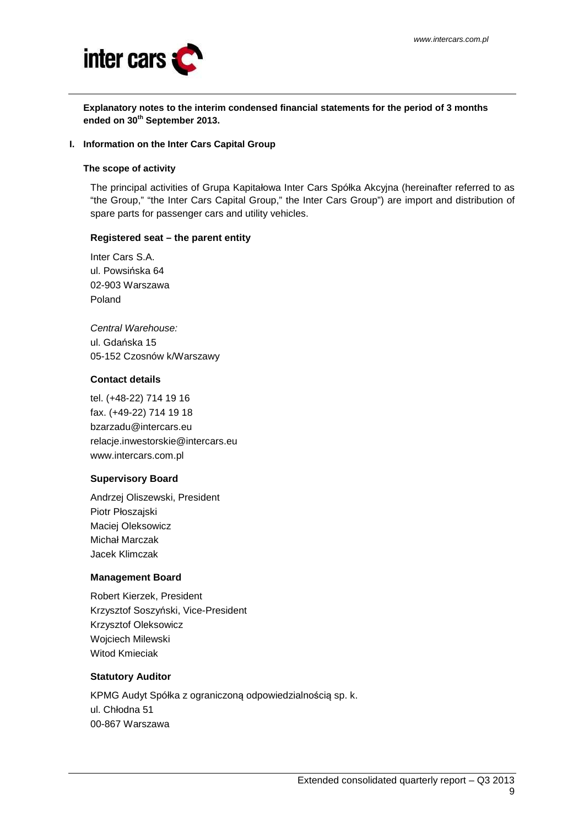

**Explanatory notes to the interim condensed financial statements for the period of 3 months ended on 30th September 2013.** 

#### **I. Information on the Inter Cars Capital Group**

#### **The scope of activity**

The principal activities of Grupa Kapitałowa Inter Cars Spółka Akcyjna (hereinafter referred to as "the Group," "the Inter Cars Capital Group," the Inter Cars Group") are import and distribution of spare parts for passenger cars and utility vehicles.

#### **Registered seat – the parent entity**

Inter Cars S.A. ul. Powsińska 64 02-903 Warszawa Poland

Central Warehouse: ul. Gdańska 15 05-152 Czosnów k/Warszawy

#### **Contact details**

tel. (+48-22) 714 19 16 fax. (+49-22) 714 19 18 bzarzadu@intercars.eu relacje.inwestorskie@intercars.eu www.intercars.com.pl

# **Supervisory Board**

Andrzej Oliszewski, President Piotr Płoszajski Maciej Oleksowicz Michał Marczak Jacek Klimczak

# **Management Board**

Robert Kierzek, President Krzysztof Soszyński, Vice-President Krzysztof Oleksowicz Wojciech Milewski Witod Kmieciak

#### **Statutory Auditor**

KPMG Audyt Spółka z ograniczoną odpowiedzialnością sp. k. ul. Chłodna 51 00-867 Warszawa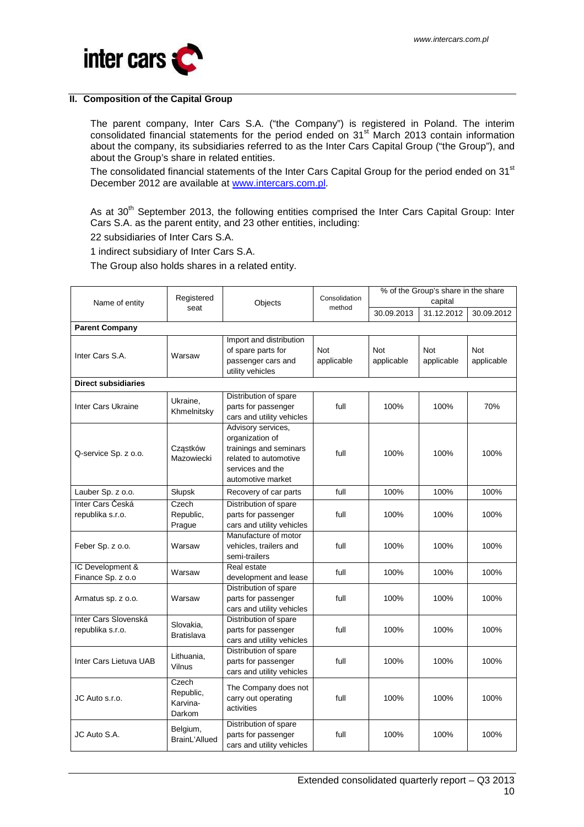

#### **II. Composition of the Capital Group**

The parent company, Inter Cars S.A. ("the Company") is registered in Poland. The interim consolidated financial statements for the period ended on 31<sup>st</sup> March 2013 contain information about the company, its subsidiaries referred to as the Inter Cars Capital Group ("the Group"), and about the Group's share in related entities.

The consolidated financial statements of the Inter Cars Capital Group for the period ended on 31<sup>st</sup> December 2012 are available at www.intercars.com.pl.

As at 30<sup>th</sup> September 2013, the following entities comprised the Inter Cars Capital Group: Inter Cars S.A. as the parent entity, and 23 other entities, including:

22 subsidiaries of Inter Cars S.A.

1 indirect subsidiary of Inter Cars S.A.

The Group also holds shares in a related entity.

|                            |                    |                           |               | % of the Group's share in the share |            |            |  |
|----------------------------|--------------------|---------------------------|---------------|-------------------------------------|------------|------------|--|
| Name of entity             | Registered         | Objects                   | Consolidation | capital                             |            |            |  |
|                            | seat               |                           | method        | 30.09.2013                          | 31.12.2012 | 30.09.2012 |  |
| <b>Parent Company</b>      |                    |                           |               |                                     |            |            |  |
|                            |                    | Import and distribution   |               |                                     |            |            |  |
| Inter Cars S.A.            | Warsaw             | of spare parts for        | <b>Not</b>    | Not                                 | Not        | Not        |  |
|                            |                    | passenger cars and        | applicable    | applicable                          | applicable | applicable |  |
|                            |                    | utility vehicles          |               |                                     |            |            |  |
| <b>Direct subsidiaries</b> |                    |                           |               |                                     |            |            |  |
|                            | Ukraine,           | Distribution of spare     |               |                                     |            |            |  |
| Inter Cars Ukraine         | Khmelnitsky        | parts for passenger       | full          | 100%                                | 100%       | 70%        |  |
|                            |                    | cars and utility vehicles |               |                                     |            |            |  |
|                            |                    | Advisory services,        |               |                                     |            |            |  |
|                            |                    | organization of           |               |                                     |            |            |  |
| Q-service Sp. z o.o.       | Cząstków           | trainings and seminars    | full          | 100%                                | 100%       | 100%       |  |
|                            | Mazowiecki         | related to automotive     |               |                                     |            |            |  |
|                            |                    | services and the          |               |                                     |            |            |  |
|                            |                    | automotive market         |               |                                     |            |            |  |
| Lauber Sp. z o.o.          | Słupsk             | Recovery of car parts     | full          | 100%                                | 100%       | 100%       |  |
| Inter Cars Česká           | Czech              | Distribution of spare     |               |                                     |            |            |  |
| republika s.r.o.           | Republic,          | parts for passenger       | full          | 100%                                | 100%       | 100%       |  |
|                            | Prague             | cars and utility vehicles |               |                                     |            |            |  |
|                            |                    | Manufacture of motor      |               |                                     |            |            |  |
| Feber Sp. z o.o.           | Warsaw             | vehicles, trailers and    | full          | 100%                                | 100%       | 100%       |  |
|                            |                    | semi-trailers             |               |                                     |            |            |  |
| IC Development &           | Warsaw             | Real estate               | full          | 100%                                | 100%       | 100%       |  |
| Finance Sp. z o.o          |                    | development and lease     |               |                                     |            |            |  |
|                            |                    | Distribution of spare     |               |                                     |            |            |  |
| Armatus sp. z o.o.         | Warsaw             | parts for passenger       | full          | 100%                                | 100%       | 100%       |  |
|                            |                    | cars and utility vehicles |               |                                     |            |            |  |
| Inter Cars Slovenská       | Slovakia,          | Distribution of spare     |               |                                     |            |            |  |
| republika s.r.o.           | <b>Bratislava</b>  | parts for passenger       | full          | 100%                                | 100%       | 100%       |  |
|                            |                    | cars and utility vehicles |               |                                     |            |            |  |
|                            | Lithuania,         | Distribution of spare     |               |                                     |            |            |  |
| Inter Cars Lietuva UAB     | Vilnus             | parts for passenger       | full          | 100%                                | 100%       | 100%       |  |
|                            |                    | cars and utility vehicles |               |                                     |            |            |  |
|                            | Czech<br>Republic, | The Company does not      |               |                                     |            |            |  |
| JC Auto s.r.o.             | Karvina-           | carry out operating       | full          | 100%                                | 100%       | 100%       |  |
|                            | Darkom             | activities                |               |                                     |            |            |  |
|                            |                    | Distribution of spare     |               |                                     |            |            |  |
| JC Auto S.A.               | Belgium,           | parts for passenger       | full          | 100%                                | 100%       | 100%       |  |
|                            | BrainL'Allued      | cars and utility vehicles |               |                                     |            |            |  |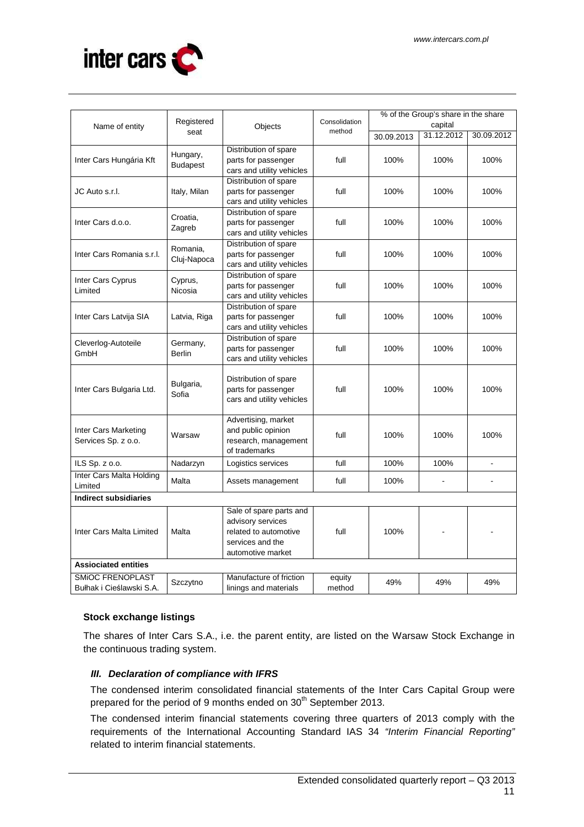

| Name of entity                  | Registered      | Objects                   | Consolidation | % of the Group's share in the share<br>capital |            |                |  |
|---------------------------------|-----------------|---------------------------|---------------|------------------------------------------------|------------|----------------|--|
| seat                            |                 |                           | method        | 30.09.2013                                     | 31.12.2012 | 30.09.2012     |  |
|                                 |                 | Distribution of spare     |               |                                                |            |                |  |
| Inter Cars Hungária Kft         | Hungary,        | parts for passenger       | full          | 100%                                           | 100%       | 100%           |  |
|                                 | <b>Budapest</b> | cars and utility vehicles |               |                                                |            |                |  |
|                                 |                 | Distribution of spare     |               |                                                |            |                |  |
| JC Auto s.r.l.                  | Italy, Milan    | parts for passenger       | full          | 100%                                           | 100%       | 100%           |  |
|                                 |                 | cars and utility vehicles |               |                                                |            |                |  |
|                                 |                 | Distribution of spare     |               |                                                |            |                |  |
| Inter Cars d.o.o.               | Croatia,        | parts for passenger       | full          | 100%                                           | 100%       | 100%           |  |
|                                 | Zagreb          | cars and utility vehicles |               |                                                |            |                |  |
|                                 |                 | Distribution of spare     |               |                                                |            |                |  |
| Inter Cars Romania s.r.l.       | Romania,        | parts for passenger       | full          | 100%                                           | 100%       | 100%           |  |
|                                 | Cluj-Napoca     | cars and utility vehicles |               |                                                |            |                |  |
| Inter Cars Cyprus               | Cyprus,         | Distribution of spare     |               |                                                |            |                |  |
| Limited                         | Nicosia         | parts for passenger       | full          | 100%                                           | 100%       | 100%           |  |
|                                 |                 | cars and utility vehicles |               |                                                |            |                |  |
|                                 |                 | Distribution of spare     |               |                                                |            |                |  |
| Inter Cars Latvija SIA          | Latvia, Riga    | parts for passenger       | full          | 100%                                           | 100%       | 100%           |  |
|                                 |                 | cars and utility vehicles |               |                                                |            |                |  |
| Cleverlog-Autoteile<br>Germany, |                 | Distribution of spare     |               |                                                |            |                |  |
| GmbH                            | <b>Berlin</b>   | parts for passenger       | full          | 100%                                           | 100%       | 100%           |  |
|                                 |                 | cars and utility vehicles |               |                                                |            |                |  |
|                                 |                 |                           |               | 100%                                           | 100%       |                |  |
|                                 | Bulgaria,       | Distribution of spare     | full          |                                                |            | 100%           |  |
| Inter Cars Bulgaria Ltd.        | Sofia           | parts for passenger       |               |                                                |            |                |  |
|                                 |                 | cars and utility vehicles |               |                                                |            |                |  |
|                                 |                 | Advertising, market       |               |                                                |            |                |  |
| Inter Cars Marketing            |                 | and public opinion        |               |                                                |            |                |  |
| Services Sp. z o.o.             | Warsaw          | research, management      | full          | 100%                                           | 100%       | 100%           |  |
|                                 |                 | of trademarks             |               |                                                |            |                |  |
| ILS Sp. z o.o.                  | Nadarzyn        | Logistics services        | full          | 100%                                           | 100%       | $\overline{a}$ |  |
| Inter Cars Malta Holding        | Malta           |                           |               |                                                |            |                |  |
| Limited                         |                 | Assets management         | full          | 100%                                           |            |                |  |
| <b>Indirect subsidiaries</b>    |                 |                           |               |                                                |            |                |  |
|                                 |                 | Sale of spare parts and   |               |                                                |            |                |  |
|                                 |                 | advisory services         |               |                                                |            |                |  |
| Inter Cars Malta Limited        | Malta           | related to automotive     | full          | 100%                                           |            |                |  |
|                                 |                 | services and the          |               |                                                |            |                |  |
|                                 |                 | automotive market         |               |                                                |            |                |  |
| <b>Assiociated entities</b>     |                 |                           |               |                                                |            |                |  |
| <b>SMIOC FRENOPLAST</b>         | Szczytno        | Manufacture of friction   | equity        | 49%                                            | 49%        | 49%            |  |
| Bułhak i Cieślawski S.A.        |                 | linings and materials     | method        |                                                |            |                |  |

# **Stock exchange listings**

The shares of Inter Cars S.A., i.e. the parent entity, are listed on the Warsaw Stock Exchange in the continuous trading system.

# **III. Declaration of compliance with IFRS**

The condensed interim consolidated financial statements of the Inter Cars Capital Group were prepared for the period of 9 months ended on 30<sup>th</sup> September 2013.

The condensed interim financial statements covering three quarters of 2013 comply with the requirements of the International Accounting Standard IAS 34 "Interim Financial Reporting" related to interim financial statements.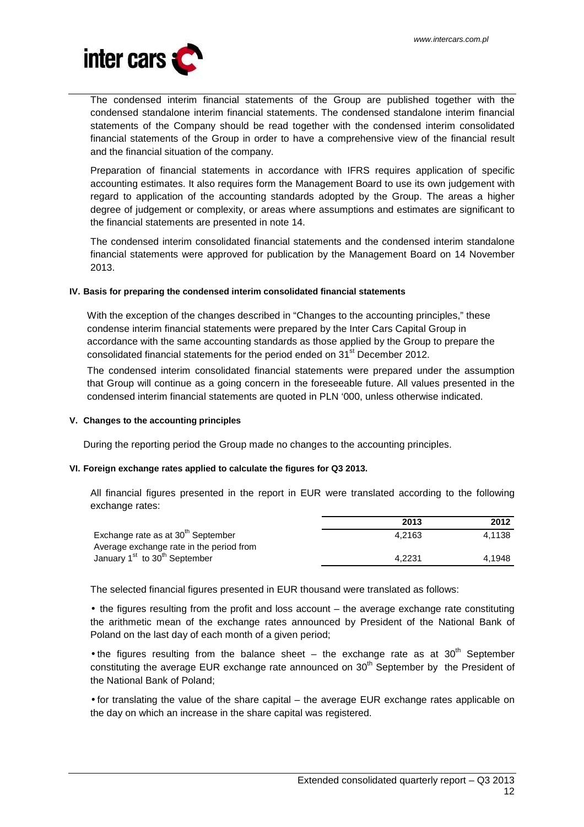

The condensed interim financial statements of the Group are published together with the condensed standalone interim financial statements. The condensed standalone interim financial statements of the Company should be read together with the condensed interim consolidated financial statements of the Group in order to have a comprehensive view of the financial result and the financial situation of the company.

Preparation of financial statements in accordance with IFRS requires application of specific accounting estimates. It also requires form the Management Board to use its own judgement with regard to application of the accounting standards adopted by the Group. The areas a higher degree of judgement or complexity, or areas where assumptions and estimates are significant to the financial statements are presented in note 14.

The condensed interim consolidated financial statements and the condensed interim standalone financial statements were approved for publication by the Management Board on 14 November 2013.

# **IV. Basis for preparing the condensed interim consolidated financial statements**

With the exception of the changes described in "Changes to the accounting principles," these condense interim financial statements were prepared by the Inter Cars Capital Group in accordance with the same accounting standards as those applied by the Group to prepare the consolidated financial statements for the period ended on 31<sup>st</sup> December 2012.

The condensed interim consolidated financial statements were prepared under the assumption that Group will continue as a going concern in the foreseeable future. All values presented in the condensed interim financial statements are quoted in PLN '000, unless otherwise indicated.

#### **V. Changes to the accounting principles**

During the reporting period the Group made no changes to the accounting principles.

#### **VI. Foreign exchange rates applied to calculate the figures for Q3 2013.**

All financial figures presented in the report in EUR were translated according to the following exchange rates:

|                                                       | 2013   | 2012   |
|-------------------------------------------------------|--------|--------|
| Exchange rate as at 30 <sup>th</sup> September        | 4.2163 | 4.1138 |
| Average exchange rate in the period from              |        |        |
| January 1 <sup>st</sup> to 30 <sup>th</sup> September | 4.2231 | 4.1948 |

The selected financial figures presented in EUR thousand were translated as follows:

• the figures resulting from the profit and loss account – the average exchange rate constituting the arithmetic mean of the exchange rates announced by President of the National Bank of Poland on the last day of each month of a given period;

• the figures resulting from the balance sheet  $-$  the exchange rate as at 30<sup>th</sup> September constituting the average EUR exchange rate announced on  $30<sup>th</sup>$  September by the President of the National Bank of Poland;

• for translating the value of the share capital – the average EUR exchange rates applicable on the day on which an increase in the share capital was registered.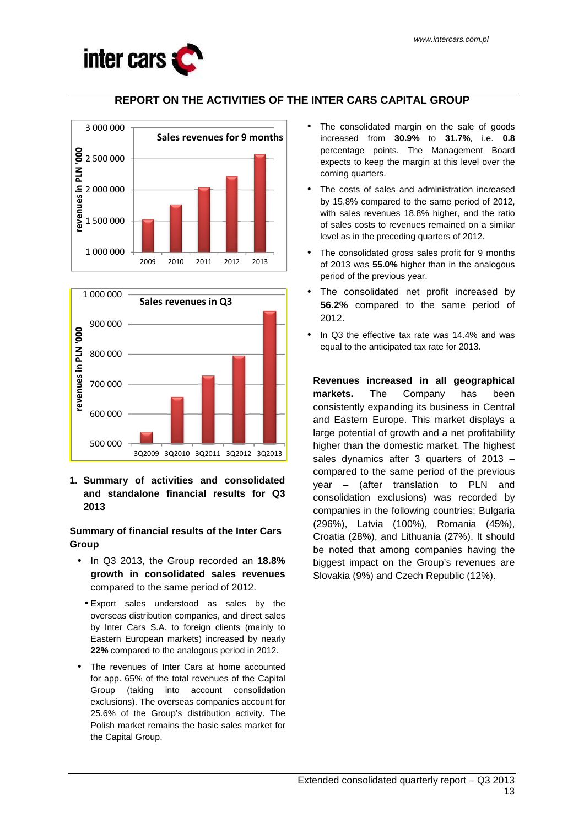

# **REPORT ON THE ACTIVITIES OF THE INTER CARS CAPITAL GROUP**





**1. Summary of activities and consolidated and standalone financial results for Q3 2013** 

**Summary of financial results of the Inter Cars Group** 

- In Q3 2013, the Group recorded an **18.8% growth in consolidated sales revenues**  compared to the same period of 2012.
	- Export sales understood as sales by the overseas distribution companies, and direct sales by Inter Cars S.A. to foreign clients (mainly to Eastern European markets) increased by nearly **22%** compared to the analogous period in 2012.
- The revenues of Inter Cars at home accounted for app. 65% of the total revenues of the Capital Group (taking into account consolidation exclusions). The overseas companies account for 25.6% of the Group's distribution activity. The Polish market remains the basic sales market for the Capital Group.
- The consolidated margin on the sale of goods increased from **30.9%** to **31.7%**, i.e. **0.8**  percentage points. The Management Board expects to keep the margin at this level over the coming quarters.
- The costs of sales and administration increased by 15.8% compared to the same period of 2012, with sales revenues 18.8% higher, and the ratio of sales costs to revenues remained on a similar level as in the preceding quarters of 2012.
- The consolidated gross sales profit for 9 months of 2013 was **55.0%** higher than in the analogous period of the previous year.
- The consolidated net profit increased by **56.2%** compared to the same period of 2012.
- In Q3 the effective tax rate was 14.4% and was equal to the anticipated tax rate for 2013.

**Revenues increased in all geographical markets.** The Company has been consistently expanding its business in Central and Eastern Europe. This market displays a large potential of growth and a net profitability higher than the domestic market. The highest sales dynamics after 3 quarters of 2013 – compared to the same period of the previous year – (after translation to PLN and consolidation exclusions) was recorded by companies in the following countries: Bulgaria (296%), Latvia (100%), Romania (45%), Croatia (28%), and Lithuania (27%). It should be noted that among companies having the biggest impact on the Group's revenues are Slovakia (9%) and Czech Republic (12%).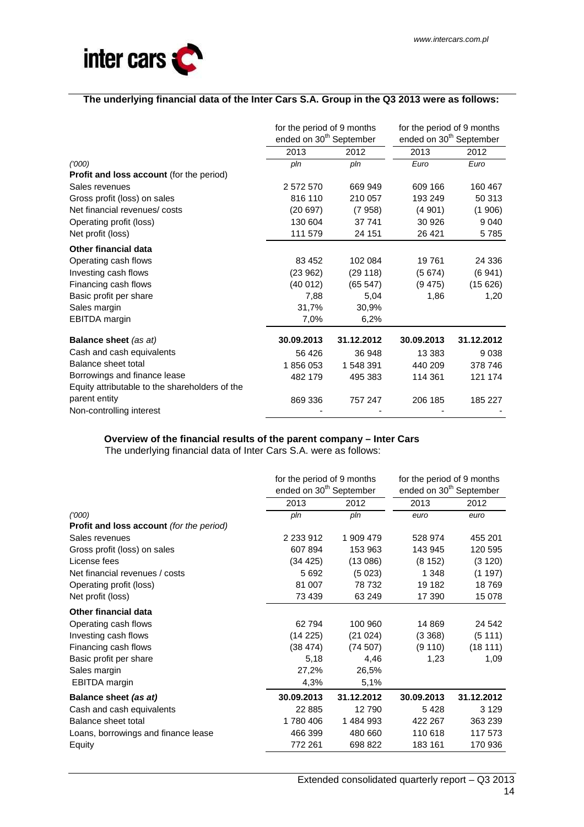

# **The underlying financial data of the Inter Cars S.A. Group in the Q3 2013 were as follows:**

|                                                | for the period of 9 months          |            | for the period of 9 months          |            |  |
|------------------------------------------------|-------------------------------------|------------|-------------------------------------|------------|--|
|                                                | ended on 30 <sup>th</sup> September |            | ended on 30 <sup>th</sup> September |            |  |
|                                                | 2013                                | 2012       | 2013                                | 2012       |  |
| (1000)                                         | pln                                 | pln        | Euro                                | Euro       |  |
| Profit and loss account (for the period)       |                                     |            |                                     |            |  |
| Sales revenues                                 | 2 572 570                           | 669 949    | 609 166                             | 160 467    |  |
| Gross profit (loss) on sales                   | 816 110                             | 210 057    | 193 249                             | 50 313     |  |
| Net financial revenues/costs                   | (20697)                             | (7958)     | (4901)                              | (1906)     |  |
| Operating profit (loss)                        | 130 604                             | 37 741     | 30 926                              | 9 0 4 0    |  |
| Net profit (loss)                              | 111 579                             | 24 151     | 26 4 21                             | 5785       |  |
| <b>Other financial data</b>                    |                                     |            |                                     |            |  |
| Operating cash flows                           | 83 452                              | 102 084    | 19761                               | 24 336     |  |
| Investing cash flows                           | (23962)                             | (29118)    | (5674)                              | (6941)     |  |
| Financing cash flows                           | (40012)                             | (65547)    | (9475)                              | (15626)    |  |
| Basic profit per share                         | 7,88                                | 5,04       | 1,86                                | 1,20       |  |
| Sales margin                                   | 31,7%                               | 30,9%      |                                     |            |  |
| <b>EBITDA</b> margin                           | 7,0%                                | 6,2%       |                                     |            |  |
| <b>Balance sheet (as at)</b>                   | 30.09.2013                          | 31.12.2012 | 30.09.2013                          | 31.12.2012 |  |
| Cash and cash equivalents                      | 56 4 26                             | 36 948     | 13 3 8 3                            | 9 0 38     |  |
| Balance sheet total                            | 1856053                             | 1 548 391  | 440 209                             | 378 746    |  |
| Borrowings and finance lease                   | 482 179                             | 495 383    | 114 361                             | 121 174    |  |
| Equity attributable to the shareholders of the |                                     |            |                                     |            |  |
| parent entity                                  | 869 336                             | 757 247    | 206 185                             | 185 227    |  |
| Non-controlling interest                       |                                     |            |                                     |            |  |

# **Overview of the financial results of the parent company – Inter Cars**

The underlying financial data of Inter Cars S.A. were as follows:

|                                                 | for the period of 9 months          |            | for the period of 9 months          |            |  |
|-------------------------------------------------|-------------------------------------|------------|-------------------------------------|------------|--|
|                                                 | ended on 30 <sup>th</sup> September |            | ended on 30 <sup>th</sup> September |            |  |
|                                                 | 2013                                | 2012       | 2013                                | 2012       |  |
| (1000)                                          | pln                                 | pln        | euro                                | euro       |  |
| <b>Profit and loss account</b> (for the period) |                                     |            |                                     |            |  |
| Sales revenues                                  | 2 2 3 9 1 2                         | 1 909 479  | 528 974                             | 455 201    |  |
| Gross profit (loss) on sales                    | 607 894                             | 153 963    | 143 945                             | 120 595    |  |
| License fees                                    | (34 425)                            | (13086)    | (8152)                              | (3 120)    |  |
| Net financial revenues / costs                  | 5692                                | (5023)     | 1 3 4 8                             | (1197)     |  |
| Operating profit (loss)                         | 81 007                              | 78 732     | 19 182                              | 18769      |  |
| Net profit (loss)                               | 73 439                              | 63 249     | 17 390                              | 15 078     |  |
| Other financial data                            |                                     |            |                                     |            |  |
| Operating cash flows                            | 62794                               | 100 960    | 14 8 69                             | 24 542     |  |
| Investing cash flows                            | (14225)                             | (21024)    | (3368)                              | (5111)     |  |
| Financing cash flows                            | (38 474)                            | (74507)    | (9110)                              | (18111)    |  |
| Basic profit per share                          | 5,18                                | 4,46       | 1,23                                | 1,09       |  |
| Sales margin                                    | 27,2%                               | 26,5%      |                                     |            |  |
| <b>EBITDA</b> margin                            | 4,3%                                | 5,1%       |                                     |            |  |
| Balance sheet (as at)                           | 30.09.2013                          | 31.12.2012 | 30.09.2013                          | 31.12.2012 |  |
| Cash and cash equivalents                       | 22 8 85                             | 12790      | 5428                                | 3 1 2 9    |  |
| Balance sheet total                             | 1780406                             | 1484993    | 422 267                             | 363 239    |  |
| Loans, borrowings and finance lease             | 466 399                             | 480 660    | 110 618                             | 117 573    |  |
| Equity                                          | 772 261                             | 698 822    | 183 161                             | 170 936    |  |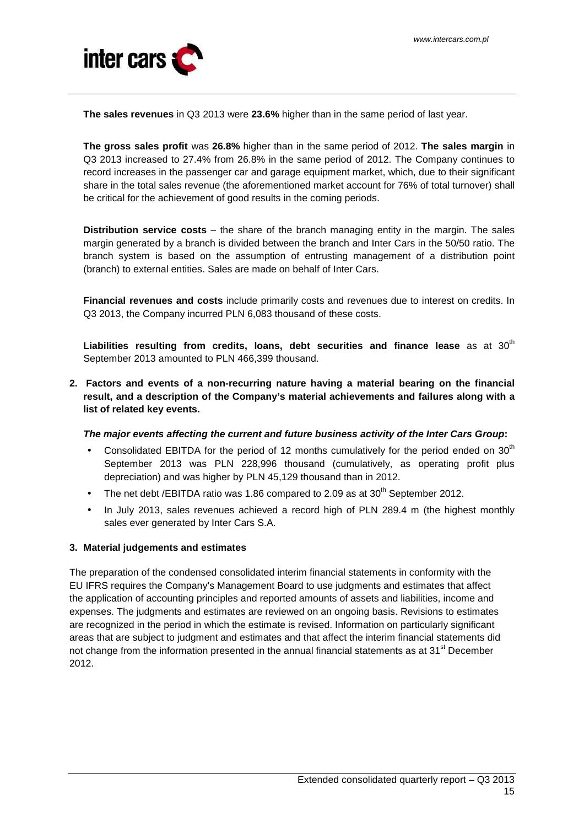

**The sales revenues** in Q3 2013 were **23.6%** higher than in the same period of last year.

**The gross sales profit** was **26.8%** higher than in the same period of 2012. **The sales margin** in Q3 2013 increased to 27.4% from 26.8% in the same period of 2012. The Company continues to record increases in the passenger car and garage equipment market, which, due to their significant share in the total sales revenue (the aforementioned market account for 76% of total turnover) shall be critical for the achievement of good results in the coming periods.

**Distribution service costs** – the share of the branch managing entity in the margin. The sales margin generated by a branch is divided between the branch and Inter Cars in the 50/50 ratio. The branch system is based on the assumption of entrusting management of a distribution point (branch) to external entities. Sales are made on behalf of Inter Cars.

**Financial revenues and costs** include primarily costs and revenues due to interest on credits. In Q3 2013, the Company incurred PLN 6,083 thousand of these costs.

Liabilities resulting from credits, loans, debt securities and finance lease as at 30<sup>th</sup> September 2013 amounted to PLN 466,399 thousand.

**2. Factors and events of a non-recurring nature having a material bearing on the financial result, and a description of the Company's material achievements and failures along with a list of related key events.** 

# **The major events affecting the current and future business activity of the Inter Cars Group:**

- Consolidated EBITDA for the period of 12 months cumulatively for the period ended on 30<sup>th</sup> September 2013 was PLN 228,996 thousand (cumulatively, as operating profit plus depreciation) and was higher by PLN 45,129 thousand than in 2012.
- The net debt /EBITDA ratio was 1.86 compared to 2.09 as at  $30<sup>th</sup>$  September 2012.
- In July 2013, sales revenues achieved a record high of PLN 289.4 m (the highest monthly sales ever generated by Inter Cars S.A.

# **3. Material judgements and estimates**

The preparation of the condensed consolidated interim financial statements in conformity with the EU IFRS requires the Company's Management Board to use judgments and estimates that affect the application of accounting principles and reported amounts of assets and liabilities, income and expenses. The judgments and estimates are reviewed on an ongoing basis. Revisions to estimates are recognized in the period in which the estimate is revised. Information on particularly significant areas that are subject to judgment and estimates and that affect the interim financial statements did not change from the information presented in the annual financial statements as at 31<sup>st</sup> December 2012.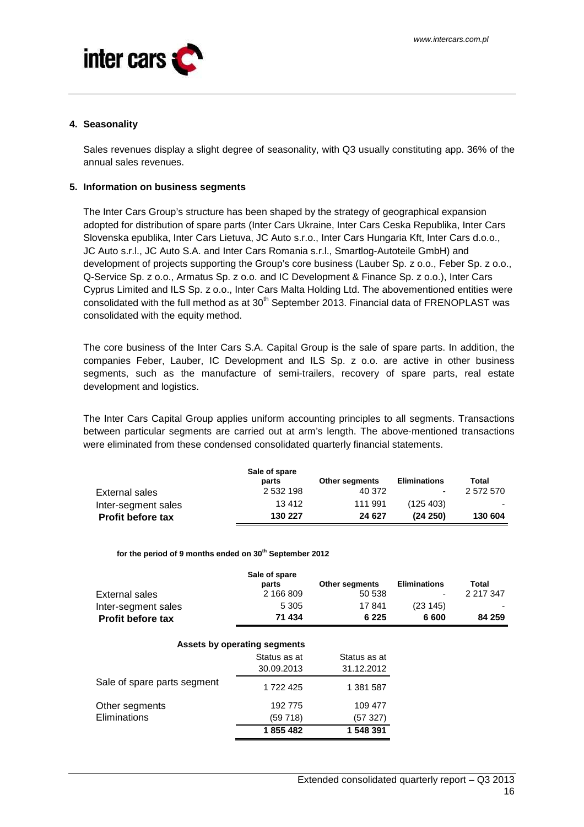

#### **4. Seasonality**

Sales revenues display a slight degree of seasonality, with Q3 usually constituting app. 36% of the annual sales revenues.

#### **5. Information on business segments**

The Inter Cars Group's structure has been shaped by the strategy of geographical expansion adopted for distribution of spare parts (Inter Cars Ukraine, Inter Cars Ceska Republika, Inter Cars Slovenska epublika, Inter Cars Lietuva, JC Auto s.r.o., Inter Cars Hungaria Kft, Inter Cars d.o.o., JC Auto s.r.l., JC Auto S.A. and Inter Cars Romania s.r.l., Smartlog-Autoteile GmbH) and development of projects supporting the Group's core business (Lauber Sp. z o.o., Feber Sp. z o.o., Q-Service Sp. z o.o., Armatus Sp. z o.o. and IC Development & Finance Sp. z o.o.), Inter Cars Cyprus Limited and ILS Sp. z o.o., Inter Cars Malta Holding Ltd. The abovementioned entities were consolidated with the full method as at  $30<sup>th</sup>$  September 2013. Financial data of FRENOPLAST was consolidated with the equity method.

The core business of the Inter Cars S.A. Capital Group is the sale of spare parts. In addition, the companies Feber, Lauber, IC Development and ILS Sp. z o.o. are active in other business segments, such as the manufacture of semi-trailers, recovery of spare parts, real estate development and logistics.

The Inter Cars Capital Group applies uniform accounting principles to all segments. Transactions between particular segments are carried out at arm's length. The above-mentioned transactions were eliminated from these condensed consolidated quarterly financial statements.

|                          | Sale of spare<br>parts | <b>Other segments</b> | <b>Eliminations</b> | Total     |
|--------------------------|------------------------|-----------------------|---------------------|-----------|
| External sales           | 2 532 198              | 40 372                |                     | 2 572 570 |
| Inter-segment sales      | 13412                  | 111 991               | (125, 403)          |           |
| <b>Profit before tax</b> | 130 227                | 24 627                | (24 250)            | 130 604   |

**for the period of 9 months ended on 30th September 2012**

| External sales<br>Inter-segment sales<br>Profit before tax | Sale of spare<br>parts<br>2 166 809<br>5 3 0 5<br>71 434 | Other segments<br>50 538<br>17841<br>6 2 2 5 | <b>Eliminations</b><br>(23145)<br>6 600 | Total<br>2 217 347<br>84 259 |
|------------------------------------------------------------|----------------------------------------------------------|----------------------------------------------|-----------------------------------------|------------------------------|
|                                                            | Assets by operating segments                             |                                              |                                         |                              |
|                                                            | Status as at                                             | Status as at                                 |                                         |                              |
|                                                            | 30.09.2013                                               | 31.12.2012                                   |                                         |                              |
| Sale of spare parts segment                                | 1722425                                                  | 1 381 587                                    |                                         |                              |
| Other segments                                             | 192 775                                                  | 109 477                                      |                                         |                              |
| <b>Eliminations</b>                                        | (59718)                                                  | (57 327)                                     |                                         |                              |
|                                                            | 1855482                                                  | 1 548 391                                    |                                         |                              |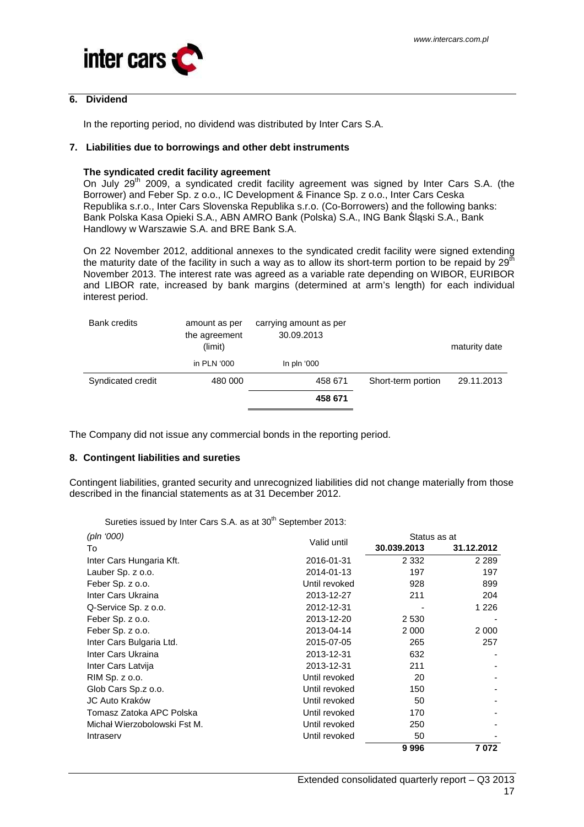

#### **6. Dividend**

In the reporting period, no dividend was distributed by Inter Cars S.A.

#### **7. Liabilities due to borrowings and other debt instruments**

#### **The syndicated credit facility agreement**

On July 29<sup>th</sup> 2009, a syndicated credit facility agreement was signed by Inter Cars S.A. (the Borrower) and Feber Sp. z o.o., IC Development & Finance Sp. z o.o., Inter Cars Ceska Republika s.r.o., Inter Cars Slovenska Republika s.r.o. (Co-Borrowers) and the following banks: Bank Polska Kasa Opieki S.A., ABN AMRO Bank (Polska) S.A., ING Bank Śląski S.A., Bank Handlowy w Warszawie S.A. and BRE Bank S.A.

On 22 November 2012, additional annexes to the syndicated credit facility were signed extending the maturity date of the facility in such a way as to allow its short-term portion to be repaid by  $29<sup>th</sup>$ November 2013. The interest rate was agreed as a variable rate depending on WIBOR, EURIBOR and LIBOR rate, increased by bank margins (determined at arm's length) for each individual interest period.

| <b>Bank credits</b> | amount as per<br>the agreement<br>(limit) | carrying amount as per<br>30.09.2013 |                    | maturity date |
|---------------------|-------------------------------------------|--------------------------------------|--------------------|---------------|
|                     | in PLN '000                               | In pln '000                          |                    |               |
| Syndicated credit   | 480 000                                   | 458 671                              | Short-term portion | 29.11.2013    |
|                     |                                           | 458 671                              |                    |               |

The Company did not issue any commercial bonds in the reporting period.

# **8. Contingent liabilities and sureties**

Contingent liabilities, granted security and unrecognized liabilities did not change materially from those described in the financial statements as at 31 December 2012.

Sureties issued by Inter Cars S.A. as at 30<sup>th</sup> September 2013:

| (pln '000)                   |               |             | Status as at |  |  |
|------------------------------|---------------|-------------|--------------|--|--|
| To                           | Valid until   | 30.039.2013 | 31.12.2012   |  |  |
| Inter Cars Hungaria Kft.     | 2016-01-31    | 2 3 3 2     | 2 2 8 9      |  |  |
| Lauber Sp. z o.o.            | 2014-01-13    | 197         | 197          |  |  |
| Feber Sp. z o.o.             | Until revoked | 928         | 899          |  |  |
| Inter Cars Ukraina           | 2013-12-27    | 211         | 204          |  |  |
| Q-Service Sp. z o.o.         | 2012-12-31    |             | 1 2 2 6      |  |  |
| Feber Sp. z o.o.             | 2013-12-20    | 2 5 3 0     |              |  |  |
| Feber Sp. z o.o.             | 2013-04-14    | 2 0 0 0     | 2 0 0 0      |  |  |
| Inter Cars Bulgaria Ltd.     | 2015-07-05    | 265         | 257          |  |  |
| Inter Cars Ukraina           | 2013-12-31    | 632         |              |  |  |
| Inter Cars Latvija           | 2013-12-31    | 211         |              |  |  |
| RIM Sp. z o.o.               | Until revoked | 20          |              |  |  |
| Glob Cars Sp.z o.o.          | Until revoked | 150         |              |  |  |
| JC Auto Kraków               | Until revoked | 50          |              |  |  |
| Tomasz Zatoka APC Polska     | Until revoked | 170         |              |  |  |
| Michał Wierzobolowski Fst M. | Until revoked | 250         |              |  |  |
| Intraserv                    | Until revoked | 50          |              |  |  |
|                              |               | 9996        | 7072         |  |  |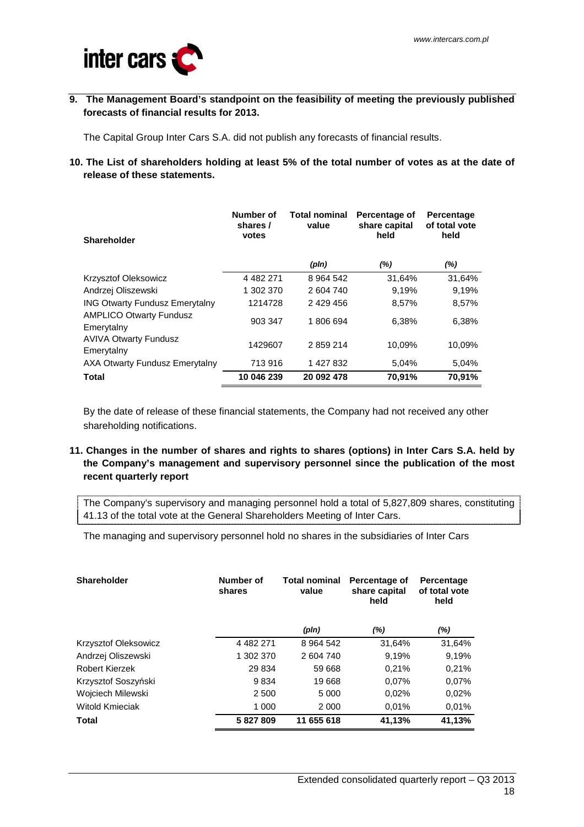

**9. The Management Board's standpoint on the feasibility of meeting the previously published forecasts of financial results for 2013.** 

The Capital Group Inter Cars S.A. did not publish any forecasts of financial results.

**10. The List of shareholders holding at least 5% of the total number of votes as at the date of release of these statements.** 

| <b>Shareholder</b>                           | Number of<br>shares /<br>votes | <b>Total nominal</b><br>value | Percentage of<br>share capital<br>held | Percentage<br>of total vote<br>held |  |
|----------------------------------------------|--------------------------------|-------------------------------|----------------------------------------|-------------------------------------|--|
|                                              |                                | (pln)                         | $(\%)$                                 | (%)                                 |  |
| <b>Krzysztof Oleksowicz</b>                  | 4 4 8 2 2 7 1                  | 8 9 64 5 42                   | 31,64%                                 | 31,64%                              |  |
| Andrzej Oliszewski                           | 1 302 370                      | 2 604 740                     | 9.19%                                  | 9,19%                               |  |
| <b>ING Otwarty Fundusz Emerytalny</b>        | 1214728                        | 2 429 456                     | 8,57%                                  | 8,57%                               |  |
| <b>AMPLICO Otwarty Fundusz</b><br>Emerytalny | 903 347                        | 1806694                       | 6,38%                                  | 6,38%                               |  |
| <b>AVIVA Otwarty Fundusz</b><br>Emerytalny   | 1429607                        | 2859214                       | 10.09%                                 | 10.09%                              |  |
| AXA Otwarty Fundusz Emerytalny               | 713 916                        | 1 427 832                     | 5,04%                                  | 5,04%                               |  |
| <b>Total</b>                                 | 10 046 239                     | 20 092 478                    | 70,91%                                 | 70.91%                              |  |

By the date of release of these financial statements, the Company had not received any other shareholding notifications.

**11. Changes in the number of shares and rights to shares (options) in Inter Cars S.A. held by the Company's management and supervisory personnel since the publication of the most recent quarterly report** 

The Company's supervisory and managing personnel hold a total of 5,827,809 shares, constituting 41.13 of the total vote at the General Shareholders Meeting of Inter Cars.

The managing and supervisory personnel hold no shares in the subsidiaries of Inter Cars

| <b>Shareholder</b>          | Number of<br>shares | <b>Total nominal</b><br>value | Percentage of<br>share capital<br>held | Percentage<br>of total vote<br>held |
|-----------------------------|---------------------|-------------------------------|----------------------------------------|-------------------------------------|
|                             |                     | (pln)                         | $(\%)$                                 | $(\%)$                              |
| <b>Krzysztof Oleksowicz</b> | 4 4 8 2 2 7 1       | 8 9 64 5 42                   | 31.64%                                 | 31,64%                              |
| Andrzej Oliszewski          | 1 302 370           | 2 604 740                     | 9.19%                                  | 9,19%                               |
| <b>Robert Kierzek</b>       | 29 834              | 59 668                        | 0.21%                                  | 0.21%                               |
| Krzysztof Soszyński         | 9834                | 19668                         | 0.07%                                  | 0.07%                               |
| Wojciech Milewski           | 2 500               | 5 0 0 0                       | 0,02%                                  | 0.02%                               |
| <b>Witold Kmieciak</b>      | 1 000               | 2 0 0 0                       | 0.01%                                  | 0.01%                               |
| Total                       | 5827809             | 11 655 618                    | 41,13%                                 | 41,13%                              |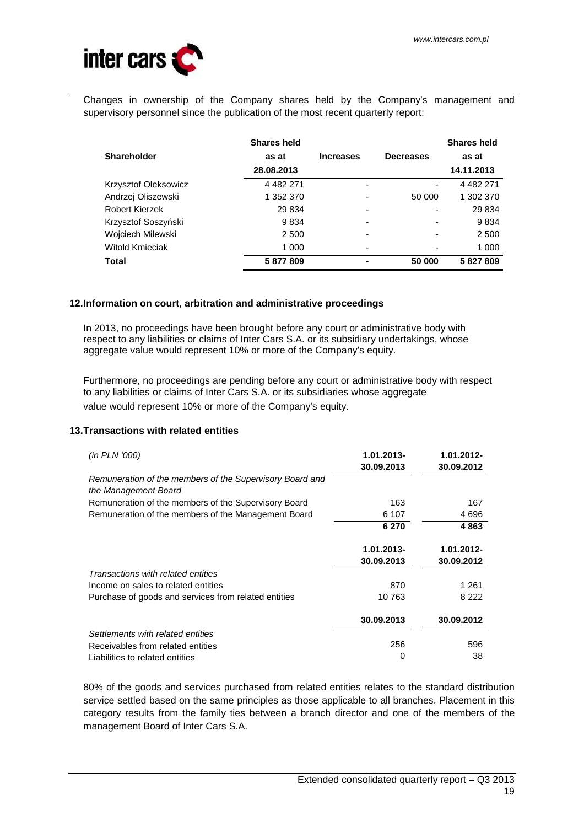

Changes in ownership of the Company shares held by the Company's management and supervisory personnel since the publication of the most recent quarterly report:

|                      | <b>Shares held</b> |                  |                          | <b>Shares held</b> |
|----------------------|--------------------|------------------|--------------------------|--------------------|
| <b>Shareholder</b>   | as at              | <b>Increases</b> | <b>Decreases</b>         | as at              |
|                      | 28.08.2013         |                  |                          | 14.11.2013         |
| Krzysztof Oleksowicz | 4 482 271          | -                | ۰                        | 4 4 8 2 2 7 1      |
| Andrzej Oliszewski   | 1 352 370          | -                | 50 000                   | 1 302 370          |
| Robert Kierzek       | 29 834             | -                | $\overline{\phantom{0}}$ | 29 834             |
| Krzysztof Soszyński  | 9834               | -                | -                        | 9834               |
| Wojciech Milewski    | 2 500              | -                | $\overline{\phantom{a}}$ | 2 500              |
| Witold Kmieciak      | 1 000              |                  |                          | 1 000              |
| Total                | 5877809            |                  | 50 000                   | 5 827 809          |

# **12. Information on court, arbitration and administrative proceedings**

In 2013, no proceedings have been brought before any court or administrative body with respect to any liabilities or claims of Inter Cars S.A. or its subsidiary undertakings, whose aggregate value would represent 10% or more of the Company's equity.

Furthermore, no proceedings are pending before any court or administrative body with respect to any liabilities or claims of Inter Cars S.A. or its subsidiaries whose aggregate value would represent 10% or more of the Company's equity.

# **13. Transactions with related entities**

| (in PLN '000)                                                                    | 1.01.2013-<br>30.09.2013 | 1.01.2012-<br>30.09.2012 |
|----------------------------------------------------------------------------------|--------------------------|--------------------------|
| Remuneration of the members of the Supervisory Board and<br>the Management Board |                          |                          |
| Remuneration of the members of the Supervisory Board                             | 163                      | 167                      |
| Remuneration of the members of the Management Board                              | 6 107                    | 4696                     |
|                                                                                  | 6 270                    | 4863                     |
|                                                                                  | 1.01.2013-               | 1.01.2012-               |
|                                                                                  | 30.09.2013               | 30.09.2012               |
| Transactions with related entities                                               |                          |                          |
| Income on sales to related entities                                              | 870                      | 1 2 6 1                  |
| Purchase of goods and services from related entities                             | 10 763                   | 8 2 2 2                  |
|                                                                                  | 30.09.2013               | 30.09.2012               |
| Settlements with related entities                                                |                          |                          |
| Receivables from related entities                                                | 256                      | 596                      |
| Liabilities to related entities                                                  | 0                        | 38                       |

80% of the goods and services purchased from related entities relates to the standard distribution service settled based on the same principles as those applicable to all branches. Placement in this category results from the family ties between a branch director and one of the members of the management Board of Inter Cars S.A.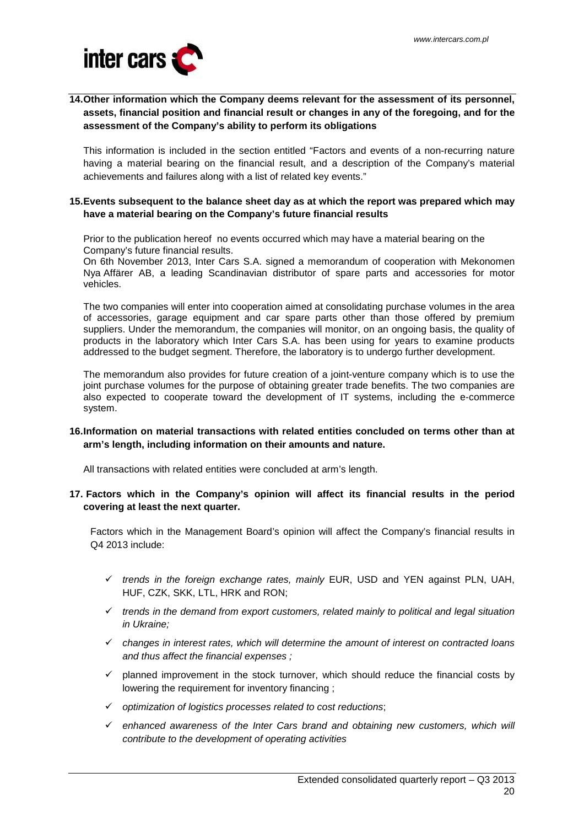

# **14. Other information which the Company deems relevant for the assessment of its personnel, assets, financial position and financial result or changes in any of the foregoing, and for the assessment of the Company's ability to perform its obligations**

This information is included in the section entitled "Factors and events of a non-recurring nature having a material bearing on the financial result, and a description of the Company's material achievements and failures along with a list of related key events."

#### **15. Events subsequent to the balance sheet day as at which the report was prepared which may have a material bearing on the Company's future financial results**

Prior to the publication hereof no events occurred which may have a material bearing on the Company's future financial results.

On 6th November 2013, Inter Cars S.A. signed a memorandum of cooperation with Mekonomen Nya Affärer AB, a leading Scandinavian distributor of spare parts and accessories for motor vehicles.

The two companies will enter into cooperation aimed at consolidating purchase volumes in the area of accessories, garage equipment and car spare parts other than those offered by premium suppliers. Under the memorandum, the companies will monitor, on an ongoing basis, the quality of products in the laboratory which Inter Cars S.A. has been using for years to examine products addressed to the budget segment. Therefore, the laboratory is to undergo further development.

The memorandum also provides for future creation of a joint-venture company which is to use the joint purchase volumes for the purpose of obtaining greater trade benefits. The two companies are also expected to cooperate toward the development of IT systems, including the e-commerce system.

# **16. Information on material transactions with related entities concluded on terms other than at arm's length, including information on their amounts and nature.**

All transactions with related entities were concluded at arm's length.

# **17. Factors which in the Company's opinion will affect its financial results in the period covering at least the next quarter.**

Factors which in the Management Board's opinion will affect the Company's financial results in Q4 2013 include:

- $\checkmark$  trends in the foreign exchange rates, mainly EUR, USD and YEN against PLN, UAH, HUF, CZK, SKK, LTL, HRK and RON;
- $\checkmark$  trends in the demand from export customers, related mainly to political and legal situation in Ukraine;
- $\checkmark$  changes in interest rates, which will determine the amount of interest on contracted loans and thus affect the financial expenses ;
- $\checkmark$  planned improvement in the stock turnover, which should reduce the financial costs by lowering the requirement for inventory financing ;
- $\checkmark$  optimization of logistics processes related to cost reductions;
- $\checkmark$  enhanced awareness of the Inter Cars brand and obtaining new customers, which will contribute to the development of operating activities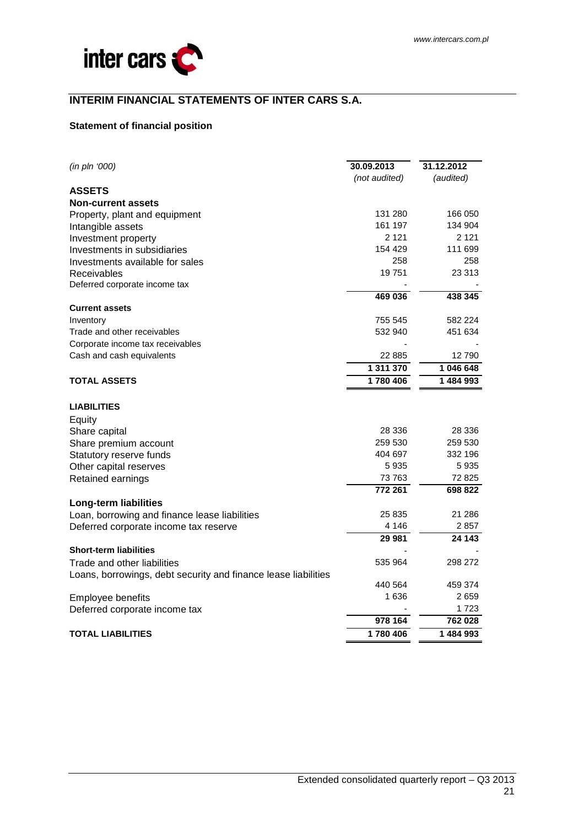

# **INTERIM FINANCIAL STATEMENTS OF INTER CARS S.A.**

# **Statement of financial position**

| (in pln '000)                                                  | 30.09.2013    | 31.12.2012 |
|----------------------------------------------------------------|---------------|------------|
|                                                                | (not audited) | (audited)  |
| <b>ASSETS</b>                                                  |               |            |
| <b>Non-current assets</b>                                      |               |            |
| Property, plant and equipment                                  | 131 280       | 166 050    |
| Intangible assets                                              | 161 197       | 134 904    |
| Investment property                                            | 2 1 2 1       | 2 1 2 1    |
| Investments in subsidiaries                                    | 154 429       | 111 699    |
| Investments available for sales                                | 258           | 258        |
| Receivables                                                    | 19751         | 23 313     |
| Deferred corporate income tax                                  |               |            |
|                                                                | 469 036       | 438 345    |
| <b>Current assets</b>                                          |               |            |
| Inventory                                                      | 755 545       | 582 224    |
| Trade and other receivables                                    | 532 940       | 451 634    |
| Corporate income tax receivables                               |               |            |
| Cash and cash equivalents                                      | 22 885        | 12 790     |
|                                                                | 1 311 370     | 1 046 648  |
| <b>TOTAL ASSETS</b>                                            | 1780406       | 1484993    |
| <b>LIABILITIES</b>                                             |               |            |
| Equity                                                         |               |            |
| Share capital                                                  | 28 336        | 28 336     |
| Share premium account                                          | 259 530       | 259 530    |
| Statutory reserve funds                                        | 404 697       | 332 196    |
| Other capital reserves                                         | 5935          | 5935       |
| Retained earnings                                              | 73 763        | 72 825     |
|                                                                | 772 261       | 698 822    |
| <b>Long-term liabilities</b>                                   |               |            |
| Loan, borrowing and finance lease liabilities                  | 25 835        | 21 286     |
| Deferred corporate income tax reserve                          | 4 146         | 2857       |
|                                                                | 29 981        | 24 143     |
| <b>Short-term liabilities</b>                                  |               |            |
|                                                                | 535 964       | 298 272    |
| Trade and other liabilities                                    |               |            |
| Loans, borrowings, debt security and finance lease liabilities | 440 564       | 459 374    |
| Employee benefits                                              | 1636          | 2659       |
|                                                                |               | 1 7 2 3    |
| Deferred corporate income tax                                  | 978 164       | 762 028    |
|                                                                |               |            |
| <b>TOTAL LIABILITIES</b>                                       | 1780406       | 1484993    |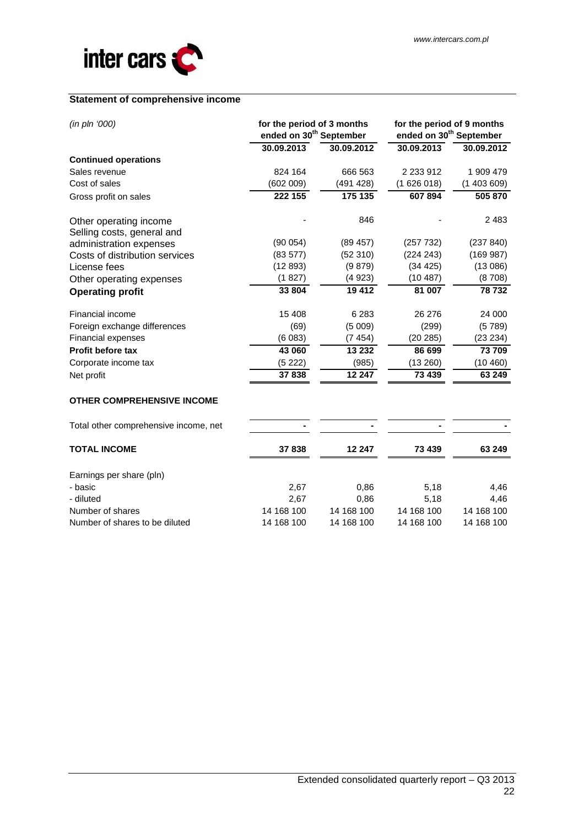

# **Statement of comprehensive income**

| (in pln '000)                                        | for the period of 3 months<br>ended on 30 <sup>th</sup> September |            | for the period of 9 months<br>ended on 30 <sup>th</sup> September |            |  |
|------------------------------------------------------|-------------------------------------------------------------------|------------|-------------------------------------------------------------------|------------|--|
|                                                      | 30.09.2013                                                        | 30.09.2012 | 30.09.2013                                                        | 30.09.2012 |  |
| <b>Continued operations</b>                          |                                                                   |            |                                                                   |            |  |
| Sales revenue                                        | 824 164                                                           | 666 563    | 2 2 3 9 1 2                                                       | 1 909 479  |  |
| Cost of sales                                        | (602 009)                                                         | (491 428)  | (1626018)                                                         | (1403609)  |  |
| Gross profit on sales                                | 222 155                                                           | 175 135    | 607894                                                            | 505 870    |  |
| Other operating income<br>Selling costs, general and |                                                                   | 846        |                                                                   | 2 4 8 3    |  |
| administration expenses                              | (90054)                                                           | (89457)    | (257 732)                                                         | (237 840)  |  |
| Costs of distribution services                       | (83577)                                                           | (52310)    | (224 243)                                                         | (169987)   |  |
| License fees                                         | (12893)                                                           | (9879)     | (34 425)                                                          | (13086)    |  |
| Other operating expenses                             | (1827)                                                            | (4923)     | (10487)                                                           | (8708)     |  |
| <b>Operating profit</b>                              | 33 804                                                            | 19412      | 81 007                                                            | 78732      |  |
| Financial income                                     | 15 408                                                            | 6 2 8 3    | 26 276                                                            | 24 000     |  |
| Foreign exchange differences                         | (69)                                                              | (5009)     | (299)                                                             | (5789)     |  |
| Financial expenses                                   | (6083)                                                            | (7454)     | (20 285)                                                          | (23 234)   |  |
| Profit before tax                                    | 43 060                                                            | 13 232     | 86 699                                                            | 73 709     |  |
| Corporate income tax                                 | (5222)                                                            | (985)      | (13 260)                                                          | (10 460)   |  |
| Net profit                                           | 37838                                                             | 12 247     | 73 439                                                            | 63 249     |  |
| <b>OTHER COMPREHENSIVE INCOME</b>                    |                                                                   |            |                                                                   |            |  |
| Total other comprehensive income, net                |                                                                   |            |                                                                   |            |  |
| <b>TOTAL INCOME</b>                                  | 37838                                                             | 12 247     | 73 439                                                            | 63 249     |  |
| Earnings per share (pln)                             |                                                                   |            |                                                                   |            |  |
| - basic                                              | 2,67                                                              | 0,86       | 5,18                                                              | 4,46       |  |
| - diluted                                            | 2,67                                                              | 0,86       | 5,18                                                              | 4,46       |  |
| Number of shares                                     | 14 168 100                                                        | 14 168 100 | 14 168 100                                                        | 14 168 100 |  |
| Number of shares to be diluted                       | 14 168 100                                                        | 14 168 100 | 14 168 100                                                        | 14 168 100 |  |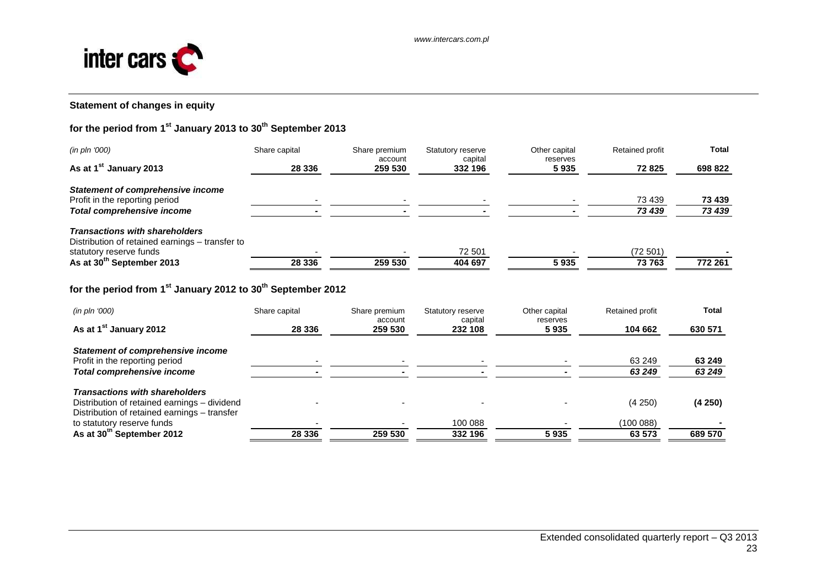

# **Statement of changes in equity**

# **for the period from 1st January 2013 to 30th September 2013**

| (in pln '000)                                   | Share capital | Share premium<br>account | Statutory reserve<br>capital | Other capital<br>reserves | Retained profit | <b>Total</b> |
|-------------------------------------------------|---------------|--------------------------|------------------------------|---------------------------|-----------------|--------------|
| As at 1 <sup>st</sup> January 2013              | 28 3 36       | 259 530                  | 332 196                      | 5935                      | 72 825          | 698 822      |
| <b>Statement of comprehensive income</b>        |               |                          |                              |                           |                 |              |
| Profit in the reporting period                  |               |                          |                              |                           | 73 439          | 73 439       |
| Total comprehensive income                      |               |                          |                              |                           | 73 439          | 73 439       |
| <b>Transactions with shareholders</b>           |               |                          |                              |                           |                 |              |
| Distribution of retained earnings – transfer to |               |                          |                              |                           |                 |              |
| statutory reserve funds                         |               |                          | 72 501                       |                           | (72 501)        |              |
| As at 30 <sup>th</sup> September 2013           | 28 3 36       | 259 530                  | 404 697                      | 5935                      | 73 763          | 772 261      |

# **for the period from 1st January 2012 to 30th September 2012**

| (in pln '000)                                                                                | Share capital | Share premium      | Statutory reserve  | Other capital    | Retained profit | <b>Total</b> |
|----------------------------------------------------------------------------------------------|---------------|--------------------|--------------------|------------------|-----------------|--------------|
| As at 1 <sup>st</sup> January 2012                                                           | 28 336        | account<br>259 530 | capital<br>232 108 | reserves<br>5935 | 104 662         | 630 571      |
| <b>Statement of comprehensive income</b>                                                     |               |                    |                    |                  |                 |              |
| Profit in the reporting period                                                               |               |                    |                    |                  | 63 249          | 63 249       |
| <b>Total comprehensive income</b>                                                            |               |                    |                    |                  | 63 249          | 63 249       |
| <b>Transactions with shareholders</b>                                                        |               |                    |                    |                  |                 |              |
| Distribution of retained earnings - dividend<br>Distribution of retained earnings - transfer |               |                    |                    |                  | (4 250)         | (4250)       |
| to statutory reserve funds                                                                   |               |                    | 100 088            |                  | (100 088)       |              |
| As at 30 <sup>th</sup> September 2012                                                        | 28 3 36       | 259 530            | 332 196            | 5935             | 63 573          | 689 570      |
|                                                                                              |               |                    |                    |                  |                 |              |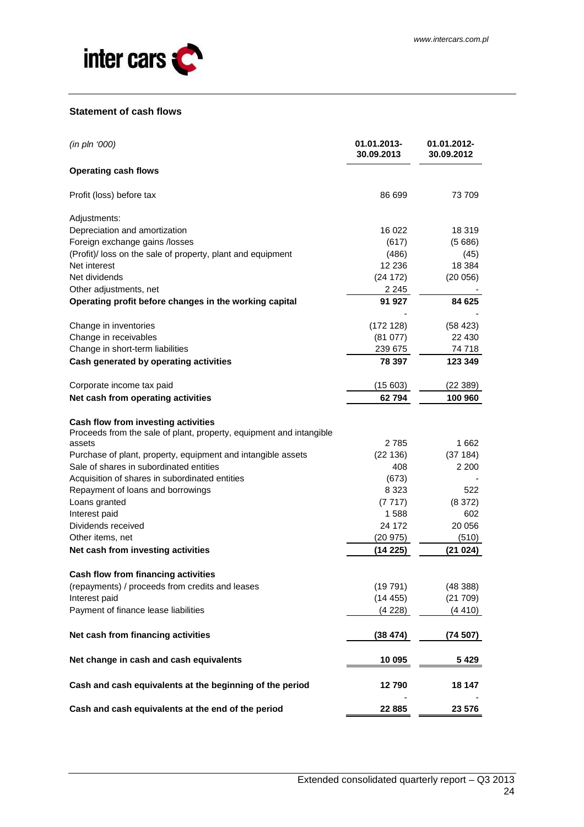

#### **Statement of cash flows**

| (in pln '000)                                                       | 01.01.2013-<br>30.09.2013 | 01.01.2012-<br>30.09.2012 |
|---------------------------------------------------------------------|---------------------------|---------------------------|
| <b>Operating cash flows</b>                                         |                           |                           |
| Profit (loss) before tax                                            | 86 699                    | 73 709                    |
| Adjustments:                                                        |                           |                           |
| Depreciation and amortization                                       | 16 022                    | 18 319                    |
| Foreign exchange gains /losses                                      | (617)                     | (5686)                    |
| (Profit)/ loss on the sale of property, plant and equipment         | (486)                     | (45)                      |
| Net interest                                                        | 12 2 36                   | 18 384                    |
| Net dividends                                                       | (24172)                   | (20056)                   |
| Other adjustments, net                                              | 2 245                     |                           |
| Operating profit before changes in the working capital              | 91 927                    | 84 625                    |
|                                                                     |                           |                           |
| Change in inventories                                               | (172 128)                 | (58 423)                  |
| Change in receivables                                               | (81077)                   | 22 430                    |
| Change in short-term liabilities                                    | 239 675                   | 74 718                    |
| Cash generated by operating activities                              | 78 397                    | 123 349                   |
| Corporate income tax paid                                           | (15603)                   | (22389)                   |
| Net cash from operating activities                                  | 62794                     | 100 960                   |
| Cash flow from investing activities                                 |                           |                           |
| Proceeds from the sale of plant, property, equipment and intangible |                           |                           |
| assets                                                              | 2785                      | 1662                      |
| Purchase of plant, property, equipment and intangible assets        | (22136)                   | (37184)                   |
| Sale of shares in subordinated entities                             | 408                       | 2 200                     |
| Acquisition of shares in subordinated entities                      | (673)                     |                           |
| Repayment of loans and borrowings                                   | 8 3 2 3                   | 522                       |
| Loans granted                                                       | (7717)                    | (8372)                    |
| Interest paid                                                       | 1588                      | 602                       |
| Dividends received                                                  | 24 172                    | 20 056                    |
| Other items, net                                                    | (20975)                   | (510)                     |
| Net cash from investing activities                                  | (14225)                   | (21024)                   |
| <b>Cash flow from financing activities</b>                          |                           |                           |
| (repayments) / proceeds from credits and leases                     | (19791)                   | (48388)                   |
| Interest paid                                                       | (14455)                   | (21709)                   |
| Payment of finance lease liabilities                                | (4 228)                   | (4 410)                   |
| Net cash from financing activities                                  | (38 474)                  | (74 507)                  |
| Net change in cash and cash equivalents                             | 10 095                    | 5429                      |
| Cash and cash equivalents at the beginning of the period            | 12790                     | 18 147                    |
| Cash and cash equivalents at the end of the period                  | 22 885                    | 23 576                    |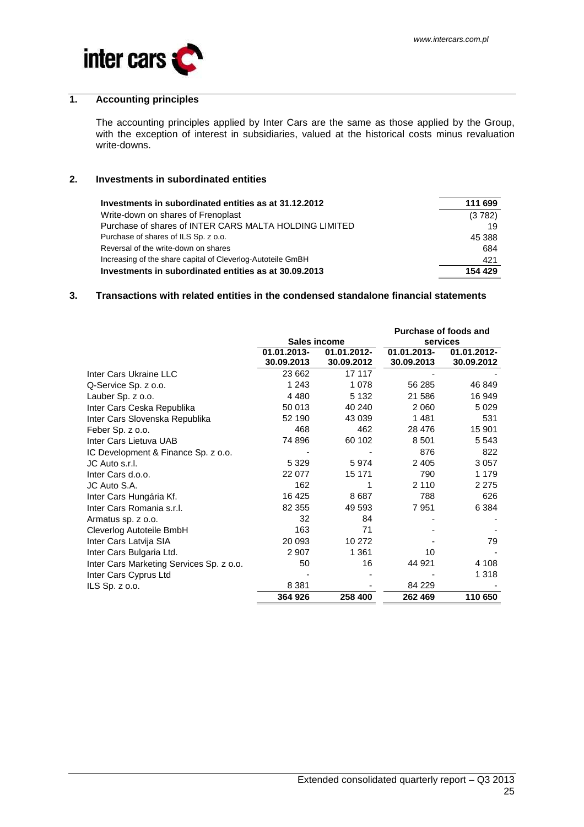

# **1. Accounting principles**

The accounting principles applied by Inter Cars are the same as those applied by the Group, with the exception of interest in subsidiaries, valued at the historical costs minus revaluation write-downs.

#### **2. Investments in subordinated entities**

| Investments in subordinated entities as at 31.12.2012       | 111 699 |
|-------------------------------------------------------------|---------|
| Write-down on shares of Frenoplast                          | (3782)  |
| Purchase of shares of INTER CARS MALTA HOLDING LIMITED      | 19      |
| Purchase of shares of ILS Sp. z o.o.                        | 45 388  |
| Reversal of the write-down on shares                        | 684     |
| Increasing of the share capital of Cleverlog-Autoteile GmBH | 421     |
| Investments in subordinated entities as at 30.09.2013       | 154 429 |

#### **3. Transactions with related entities in the condensed standalone financial statements**

|                                          |              |             |             | <b>Purchase of foods and</b> |
|------------------------------------------|--------------|-------------|-------------|------------------------------|
|                                          | Sales income |             | services    |                              |
|                                          | 01.01.2013-  | 01.01.2012- | 01.01.2013- | 01.01.2012-                  |
|                                          | 30.09.2013   | 30.09.2012  | 30.09.2013  | 30.09.2012                   |
| Inter Cars Ukraine LLC                   | 23 662       | 17 117      |             |                              |
| Q-Service Sp. z o.o.                     | 1 2 4 3      | 1 0 7 8     | 56 285      | 46 849                       |
| Lauber Sp. z o.o.                        | 4 4 8 0      | 5 1 3 2     | 21 586      | 16 949                       |
| Inter Cars Ceska Republika               | 50 013       | 40 240      | 2 0 6 0     | 5 0 2 9                      |
| Inter Cars Slovenska Republika           | 52 190       | 43 039      | 1481        | 531                          |
| Feber Sp. z o.o.                         | 468          | 462         | 28 476      | 15 901                       |
| Inter Cars Lietuva UAB                   | 74 896       | 60 102      | 8 5 0 1     | 5 5 4 3                      |
| IC Development & Finance Sp. z o.o.      |              |             | 876         | 822                          |
| JC Auto s.r.l.                           | 5 3 2 9      | 5974        | 2 4 0 5     | 3 0 5 7                      |
| Inter Cars d.o.o.                        | 22 077       | 15 171      | 790         | 1 1 7 9                      |
| JC Auto S.A.                             | 162          |             | 2 1 1 0     | 2 2 7 5                      |
| Inter Cars Hungária Kf.                  | 16 4 25      | 8687        | 788         | 626                          |
| Inter Cars Romania s.r.l.                | 82 355       | 49 593      | 7951        | 6 3 8 4                      |
| Armatus sp. z o.o.                       | 32           | 84          |             |                              |
| Cleverlog Autoteile BmbH                 | 163          | 71          |             |                              |
| Inter Cars Latvija SIA                   | 20 093       | 10 272      |             | 79                           |
| Inter Cars Bulgaria Ltd.                 | 2 907        | 1 361       | 10          |                              |
| Inter Cars Marketing Services Sp. z o.o. | 50           | 16          | 44 921      | 4 1 0 8                      |
| Inter Cars Cyprus Ltd                    |              |             |             | 1 318                        |
| ILS $Sp. z 0.0$ .                        | 8 3 8 1      |             | 84 229      |                              |
|                                          | 364 926      | 258 400     | 262 469     | 110 650                      |